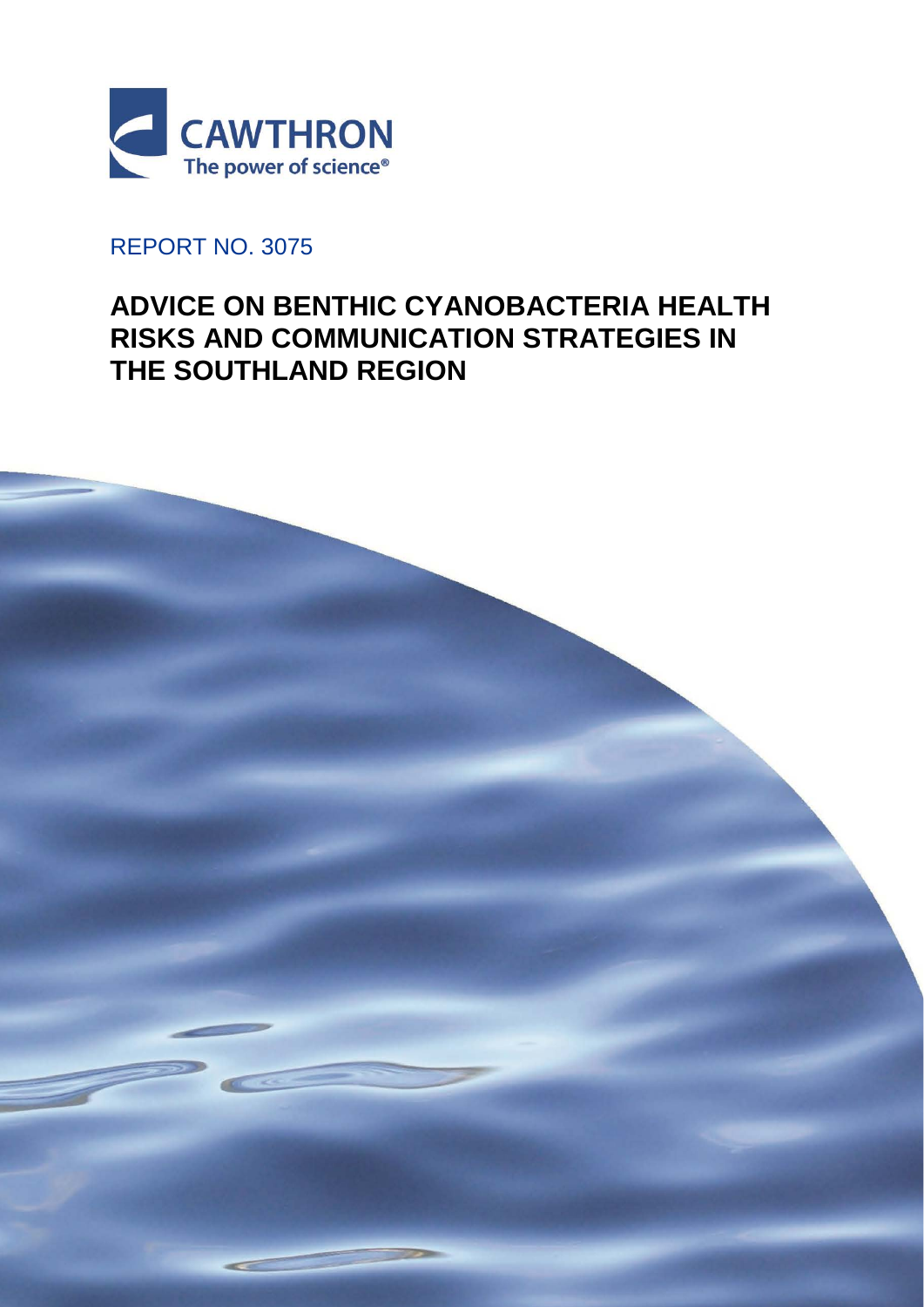

## REPORT NO. 3075

# **ADVICE ON BENTHIC CYANOBACTERIA HEALTH RISKS AND COMMUNICATION STRATEGIES IN THE SOUTHLAND REGION**

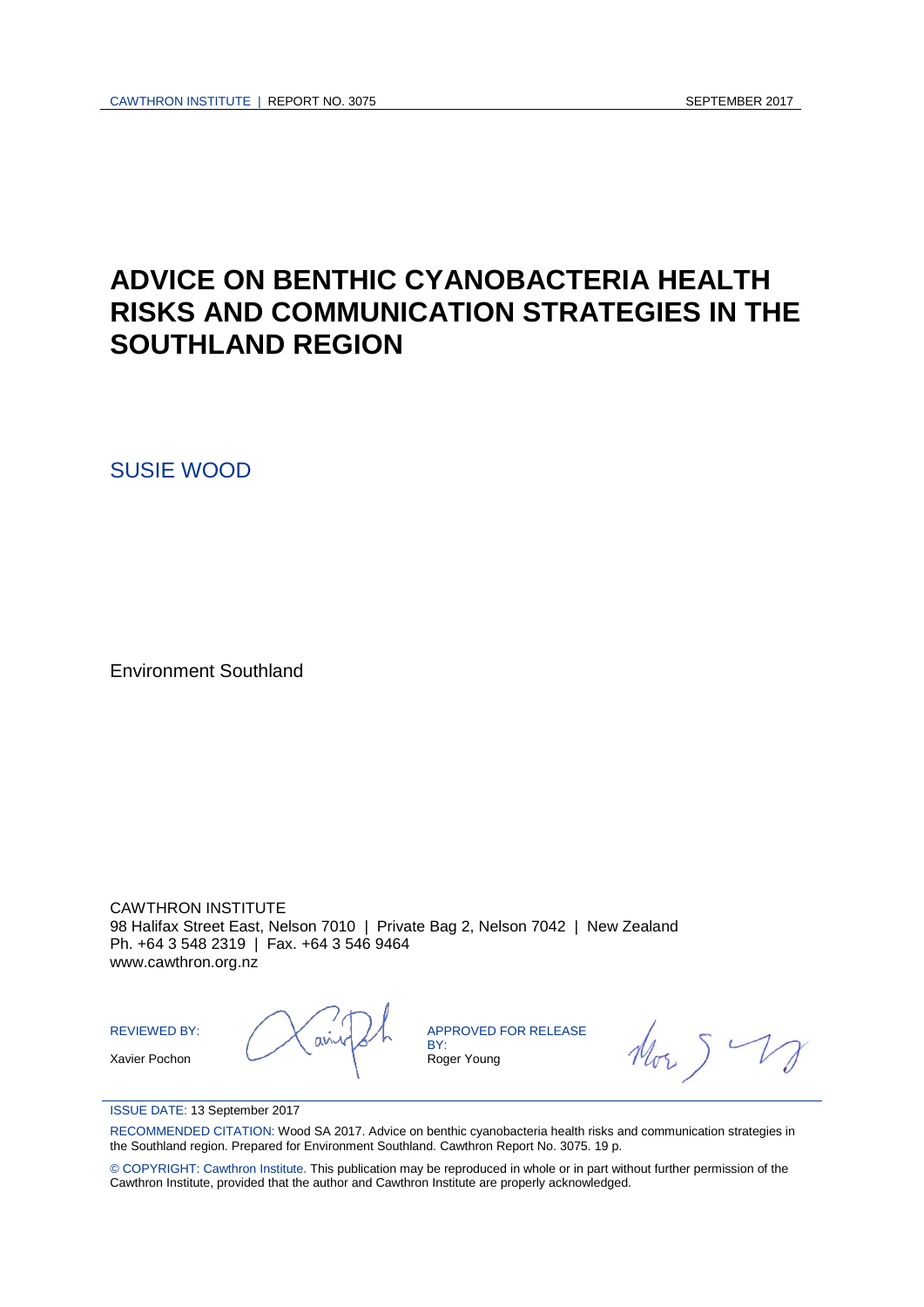# **ADVICE ON BENTHIC CYANOBACTERIA HEALTH RISKS AND COMMUNICATION STRATEGIES IN THE SOUTHLAND REGION**

SUSIE WOOD

Environment Southland

CAWTHRON INSTITUTE 98 Halifax Street East, Nelson 7010 | Private Bag 2, Nelson 7042 | New Zealand Ph. +64 3 548 2319 | Fax. +64 3 546 9464 www.cawthron.org.nz

REVIEWED BY: Xavier Pochon

APPROVED FOR RELEASE BY: Roger Young

#### ISSUE DATE: 13 September 2017

RECOMMENDED CITATION: Wood SA 2017. Advice on benthic cyanobacteria health risks and communication strategies in the Southland region. Prepared for Environment Southland. Cawthron Report No. 3075. 19 p.

© COPYRIGHT: Cawthron Institute. This publication may be reproduced in whole or in part without further permission of the Cawthron Institute, provided that the author and Cawthron Institute are properly acknowledged.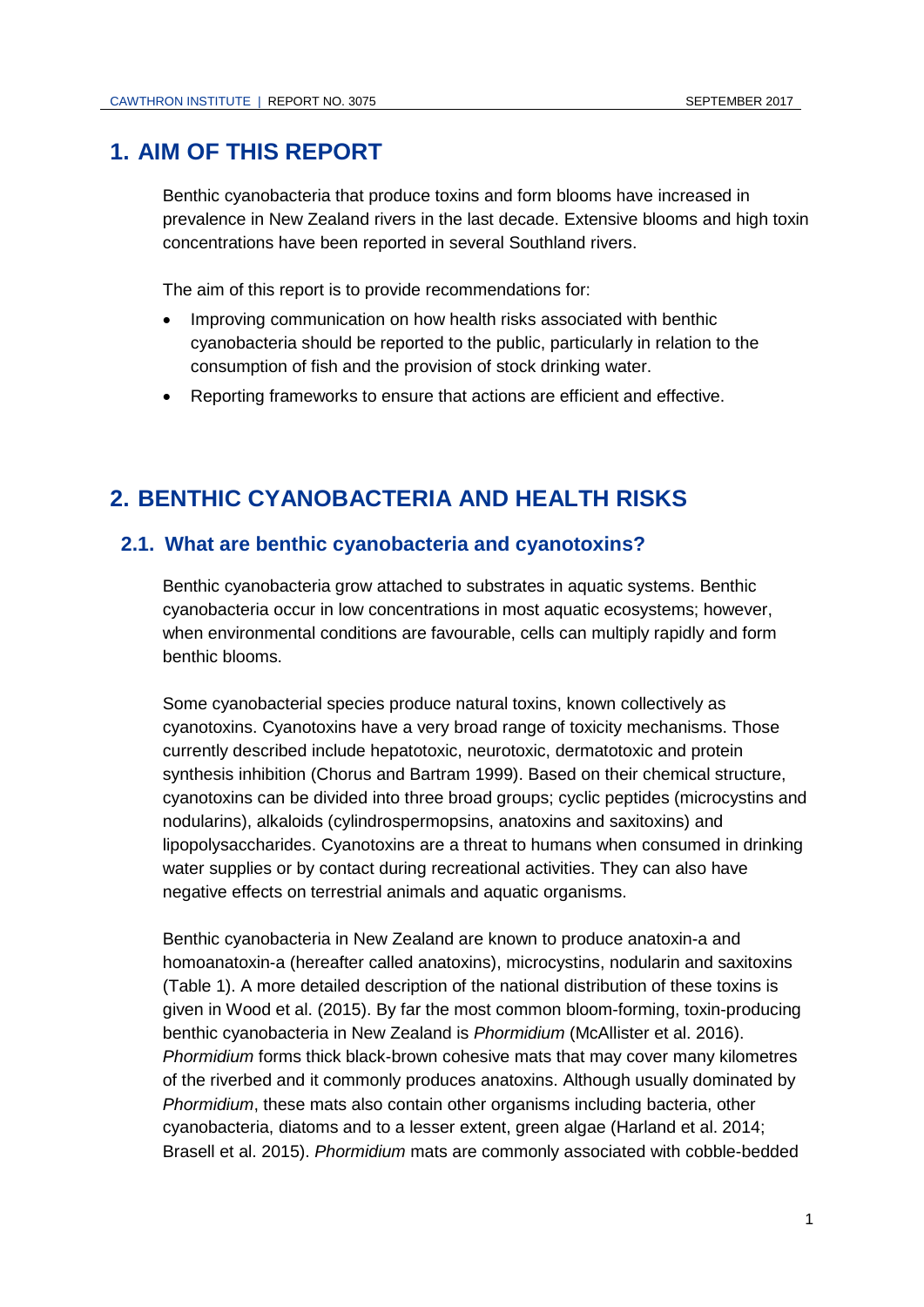### **1. AIM OF THIS REPORT**

Benthic cyanobacteria that produce toxins and form blooms have increased in prevalence in New Zealand rivers in the last decade. Extensive blooms and high toxin concentrations have been reported in several Southland rivers.

The aim of this report is to provide recommendations for:

- Improving communication on how health risks associated with benthic cyanobacteria should be reported to the public, particularly in relation to the consumption of fish and the provision of stock drinking water.
- Reporting frameworks to ensure that actions are efficient and effective.

### **2. BENTHIC CYANOBACTERIA AND HEALTH RISKS**

#### **2.1. What are benthic cyanobacteria and cyanotoxins?**

Benthic cyanobacteria grow attached to substrates in aquatic systems. Benthic cyanobacteria occur in low concentrations in most aquatic ecosystems; however, when environmental conditions are favourable, cells can multiply rapidly and form benthic blooms.

Some cyanobacterial species produce natural toxins, known collectively as cyanotoxins. Cyanotoxins have a very broad range of toxicity mechanisms. Those currently described include hepatotoxic, neurotoxic, dermatotoxic and protein synthesis inhibition (Chorus and Bartram 1999). Based on their chemical structure, cyanotoxins can be divided into three broad groups; cyclic peptides (microcystins and nodularins), alkaloids (cylindrospermopsins, anatoxins and saxitoxins) and lipopolysaccharides. Cyanotoxins are a threat to humans when consumed in drinking water supplies or by contact during recreational activities. They can also have negative effects on terrestrial animals and aquatic organisms.

Benthic cyanobacteria in New Zealand are known to produce anatoxin-a and homoanatoxin-a (hereafter called anatoxins), microcystins, nodularin and saxitoxins (Table 1). A more detailed description of the national distribution of these toxins is given in Wood et al. (2015). By far the most common bloom-forming, toxin-producing benthic cyanobacteria in New Zealand is *Phormidium* (McAllister et al. 2016). *Phormidium* forms thick black-brown cohesive mats that may cover many kilometres of the riverbed and it commonly produces anatoxins. Although usually dominated by *Phormidium*, these mats also contain other organisms including bacteria, other cyanobacteria, diatoms and to a lesser extent, green algae (Harland et al. 2014; Brasell et al. 2015). *Phormidium* mats are commonly associated with cobble-bedded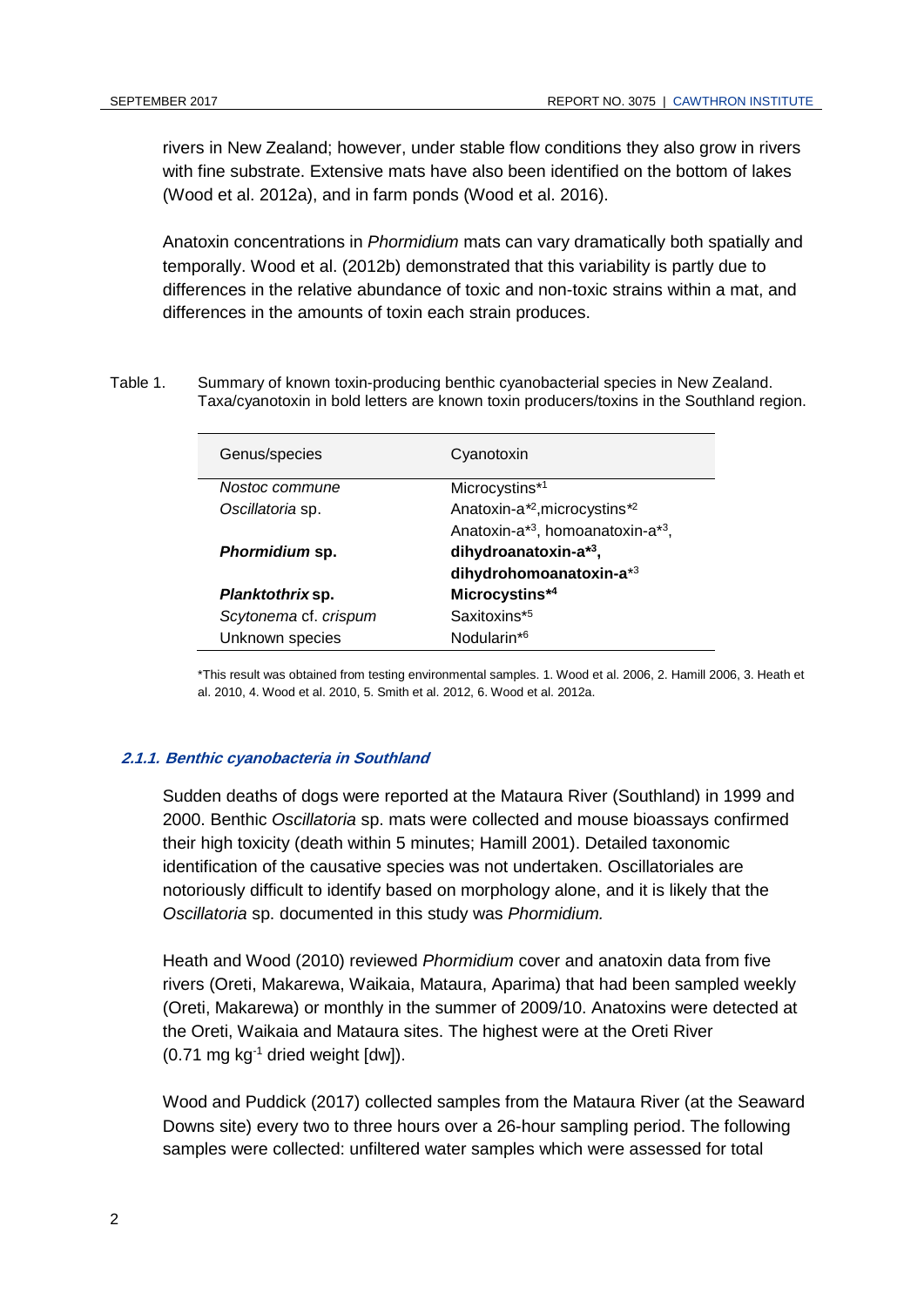rivers in New Zealand; however, under stable flow conditions they also grow in rivers with fine substrate. Extensive mats have also been identified on the bottom of lakes (Wood et al. 2012a), and in farm ponds (Wood et al. 2016).

Anatoxin concentrations in *Phormidium* mats can vary dramatically both spatially and temporally. Wood et al. (2012b) demonstrated that this variability is partly due to differences in the relative abundance of toxic and non-toxic strains within a mat, and differences in the amounts of toxin each strain produces.

Table 1. Summary of known toxin-producing benthic cyanobacterial species in New Zealand. Taxa/cyanotoxin in bold letters are known toxin producers/toxins in the Southland region.

| Genus/species           | Cyanotoxin                                          |
|-------------------------|-----------------------------------------------------|
| Nostoc commune          | Microcystins*1                                      |
| Oscillatoria sp.        | Anatoxin-a <sup>*</sup> , microcystins <sup>*</sup> |
|                         | Anatoxin-a*3, homoanatoxin-a*3,                     |
| Phormidium sp.          | dihydroanatoxin-a <sup>*3</sup> ,                   |
|                         | dihydrohomoanatoxin-a*3                             |
| <i>Planktothrix</i> sp. | Microcystins*4                                      |
| Scytonema cf. crispum   | Saxitoxins*5                                        |
| Unknown species         | Nodularin <sup>*6</sup>                             |

\*This result was obtained from testing environmental samples. 1. Wood et al. 2006, 2. Hamill 2006, 3. Heath et al. 2010, 4. Wood et al. 2010, 5. Smith et al. 2012, 6. Wood et al. 2012a.

#### **2.1.1. Benthic cyanobacteria in Southland**

Sudden deaths of dogs were reported at the Mataura River (Southland) in 1999 and 2000. Benthic *Oscillatoria* sp. mats were collected and mouse bioassays confirmed their high toxicity (death within 5 minutes; Hamill 2001). Detailed taxonomic identification of the causative species was not undertaken. Oscillatoriales are notoriously difficult to identify based on morphology alone, and it is likely that the *Oscillatoria* sp. documented in this study was *Phormidium.* 

Heath and Wood (2010) reviewed *Phormidium* cover and anatoxin data from five rivers (Oreti, Makarewa, Waikaia, Mataura, Aparima) that had been sampled weekly (Oreti, Makarewa) or monthly in the summer of 2009/10. Anatoxins were detected at the Oreti, Waikaia and Mataura sites. The highest were at the Oreti River  $(0.71 \text{ mg kg}^{-1}$  dried weight  $[dw]$ ).

Wood and Puddick (2017) collected samples from the Mataura River (at the Seaward Downs site) every two to three hours over a 26-hour sampling period. The following samples were collected: unfiltered water samples which were assessed for total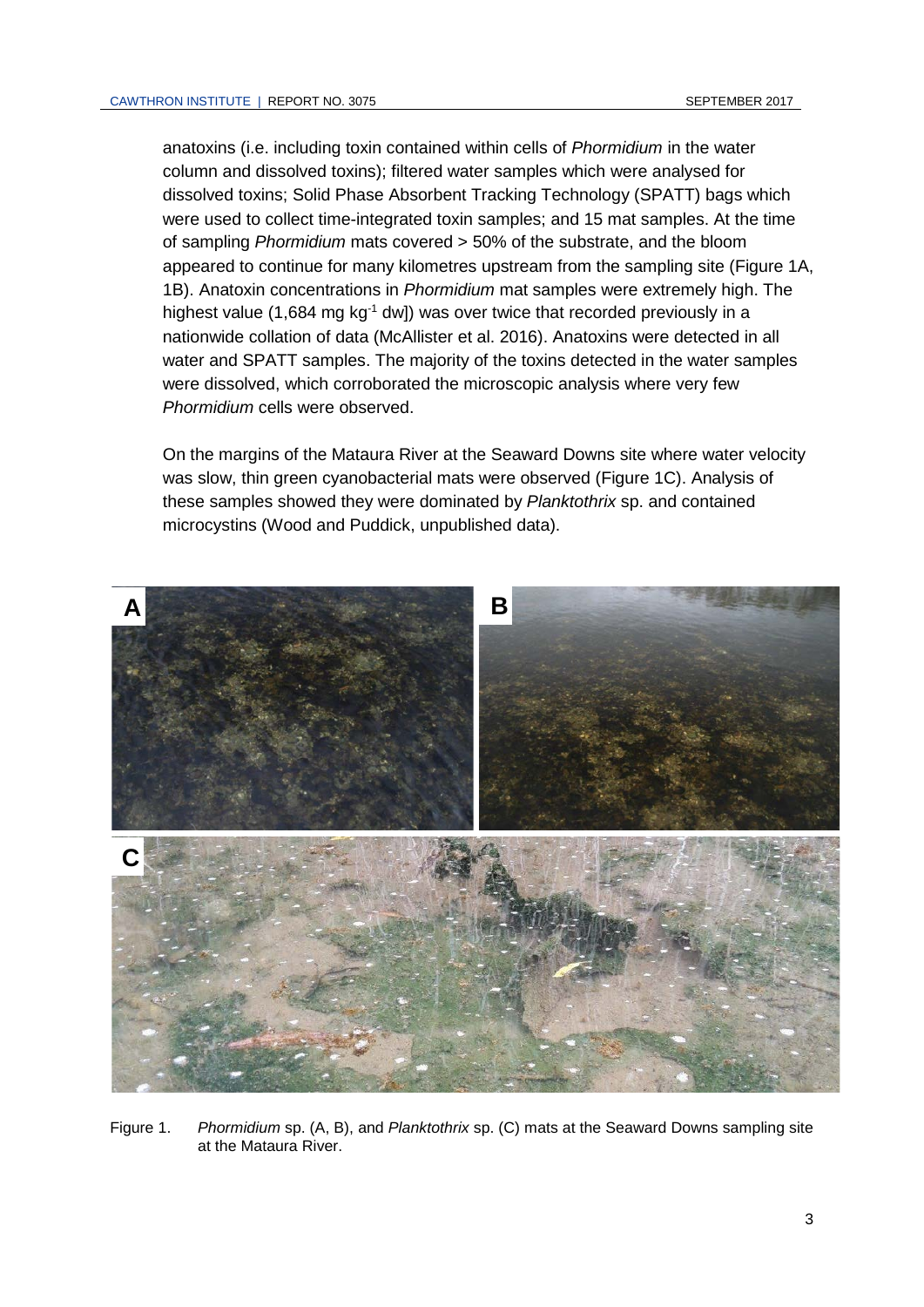anatoxins (i.e. including toxin contained within cells of *Phormidium* in the water column and dissolved toxins); filtered water samples which were analysed for dissolved toxins; Solid Phase Absorbent Tracking Technology (SPATT) bags which were used to collect time-integrated toxin samples; and 15 mat samples. At the time of sampling *Phormidium* mats covered > 50% of the substrate, and the bloom appeared to continue for many kilometres upstream from the sampling site [\(Figure 1A](#page-6-0), 1B). Anatoxin concentrations in *Phormidium* mat samples were extremely high. The highest value (1,684 mg kg $^{-1}$  dw]) was over twice that recorded previously in a nationwide collation of data (McAllister et al. 2016). Anatoxins were detected in all water and SPATT samples. The majority of the toxins detected in the water samples were dissolved, which corroborated the microscopic analysis where very few *Phormidium* cells were observed.

On the margins of the Mataura River at the Seaward Downs site where water velocity was slow, thin green cyanobacterial mats were observed [\(Figure 1C](#page-6-0)). Analysis of these samples showed they were dominated by *Planktothrix* sp. and contained microcystins (Wood and Puddick, unpublished data).



<span id="page-6-0"></span>Figure 1. *Phormidium* sp. (A, B), and *Planktothrix* sp. (C) mats at the Seaward Downs sampling site at the Mataura River.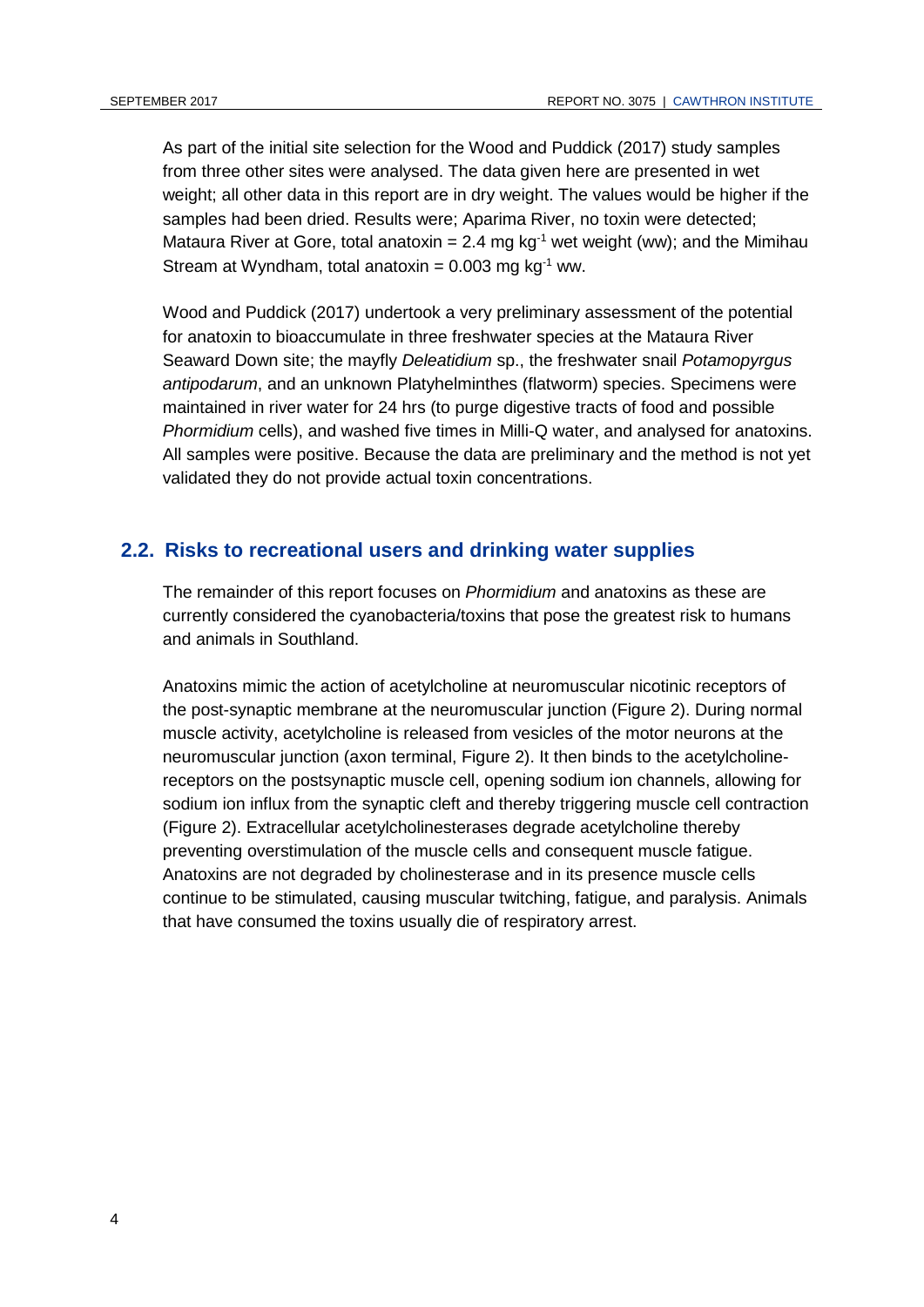As part of the initial site selection for the Wood and Puddick (2017) study samples from three other sites were analysed. The data given here are presented in wet weight; all other data in this report are in dry weight. The values would be higher if the samples had been dried. Results were; Aparima River, no toxin were detected; Mataura River at Gore, total anatoxin = 2.4 mg kg<sup>-1</sup> wet weight (ww); and the Mimihau Stream at Wyndham, total anatoxin =  $0.003$  mg kg<sup>-1</sup> ww.

Wood and Puddick (2017) undertook a very preliminary assessment of the potential for anatoxin to bioaccumulate in three freshwater species at the Mataura River Seaward Down site; the mayfly *Deleatidium* sp., the freshwater snail *Potamopyrgus antipodarum*, and an unknown Platyhelminthes (flatworm) species. Specimens were maintained in river water for 24 hrs (to purge digestive tracts of food and possible *Phormidium* cells), and washed five times in Milli-Q water, and analysed for anatoxins. All samples were positive. Because the data are preliminary and the method is not yet validated they do not provide actual toxin concentrations.

### **2.2. Risks to recreational users and drinking water supplies**

The remainder of this report focuses on *Phormidium* and anatoxins as these are currently considered the cyanobacteria/toxins that pose the greatest risk to humans and animals in Southland.

Anatoxins mimic the action of acetylcholine at neuromuscular nicotinic receptors of the post-synaptic membrane at the neuromuscular junction [\(Figure 2\)](#page-8-0). During normal muscle activity, acetylcholine is released from vesicles of the motor neurons at the neuromuscular junction (axon terminal, [Figure 2\)](#page-8-0). It then binds to the acetylcholinereceptors on the postsynaptic muscle cell, opening sodium ion channels, allowing for sodium ion influx from the synaptic cleft and thereby triggering muscle cell contraction [\(Figure 2\)](#page-8-0). Extracellular acetylcholinesterases degrade acetylcholine thereby preventing overstimulation of the muscle cells and consequent muscle fatigue. Anatoxins are not degraded by cholinesterase and in its presence muscle cells continue to be stimulated, causing muscular twitching, fatigue, and paralysis. Animals that have consumed the toxins usually die of respiratory arrest.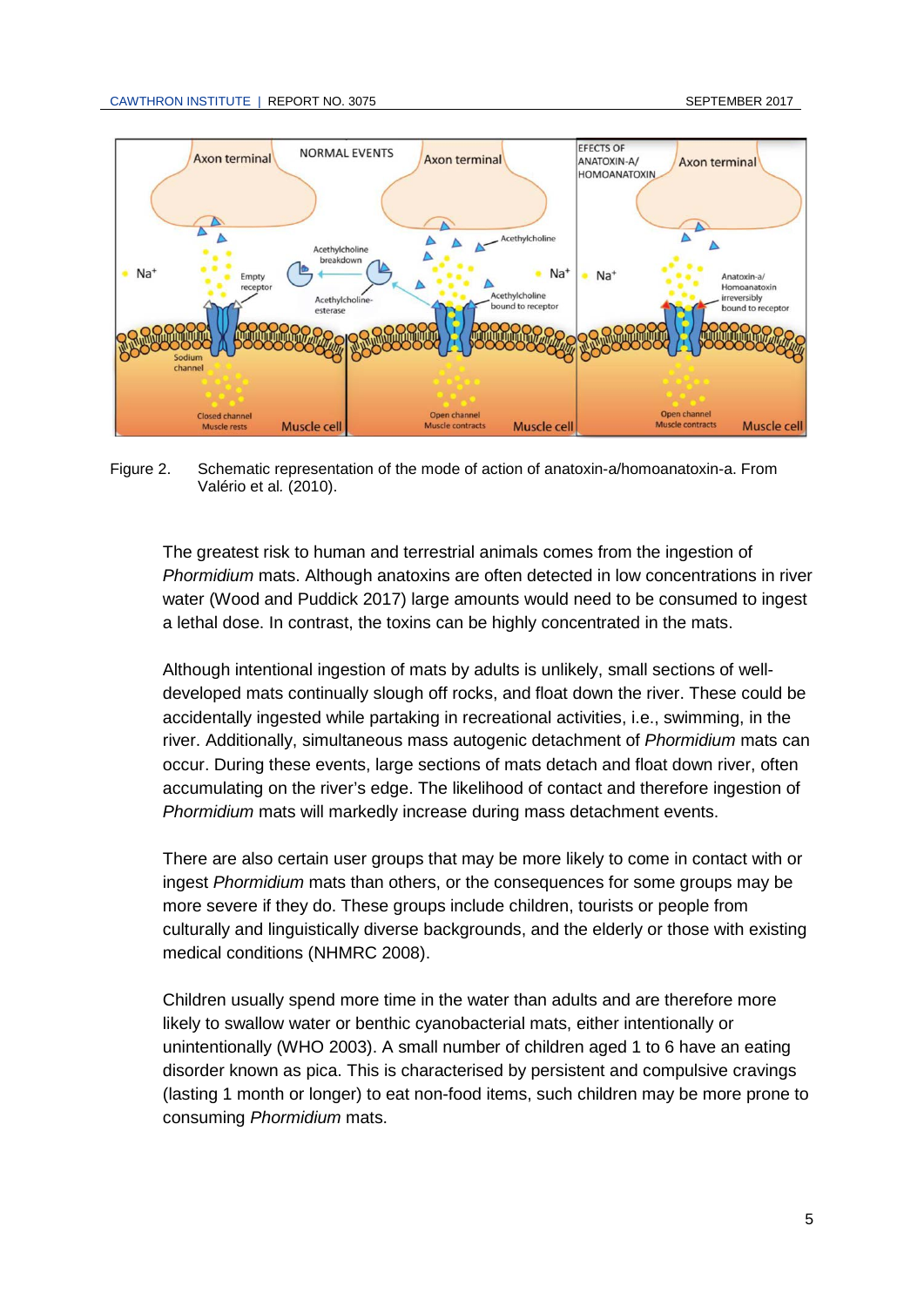

<span id="page-8-0"></span>Figure 2. Schematic representation of the mode of action of anatoxin-a/homoanatoxin-a. From [Valério](http://www.mdpi.com/search?authors=Elisabete%20Val%C3%A9rio) et al*.* (2010).

The greatest risk to human and terrestrial animals comes from the ingestion of *Phormidium* mats. Although anatoxins are often detected in low concentrations in river water (Wood and Puddick 2017) large amounts would need to be consumed to ingest a lethal dose. In contrast, the toxins can be highly concentrated in the mats.

Although intentional ingestion of mats by adults is unlikely, small sections of welldeveloped mats continually slough off rocks, and float down the river. These could be accidentally ingested while partaking in recreational activities, i.e., swimming, in the river. Additionally, simultaneous mass autogenic detachment of *Phormidium* mats can occur. During these events, large sections of mats detach and float down river, often accumulating on the river's edge. The likelihood of contact and therefore ingestion of *Phormidium* mats will markedly increase during mass detachment events.

There are also certain user groups that may be more likely to come in contact with or ingest *Phormidium* mats than others, or the consequences for some groups may be more severe if they do. These groups include children, tourists or people from culturally and linguistically diverse backgrounds, and the elderly or those with existing medical conditions (NHMRC 2008).

Children usually spend more time in the water than adults and are therefore more likely to swallow water or benthic cyanobacterial mats, either intentionally or unintentionally (WHO 2003). A small number of children aged 1 to 6 have an eating disorder known as pica. This is characterised by persistent and compulsive cravings (lasting 1 month or longer) to eat non-food items, such children may be more prone to consuming *Phormidium* mats.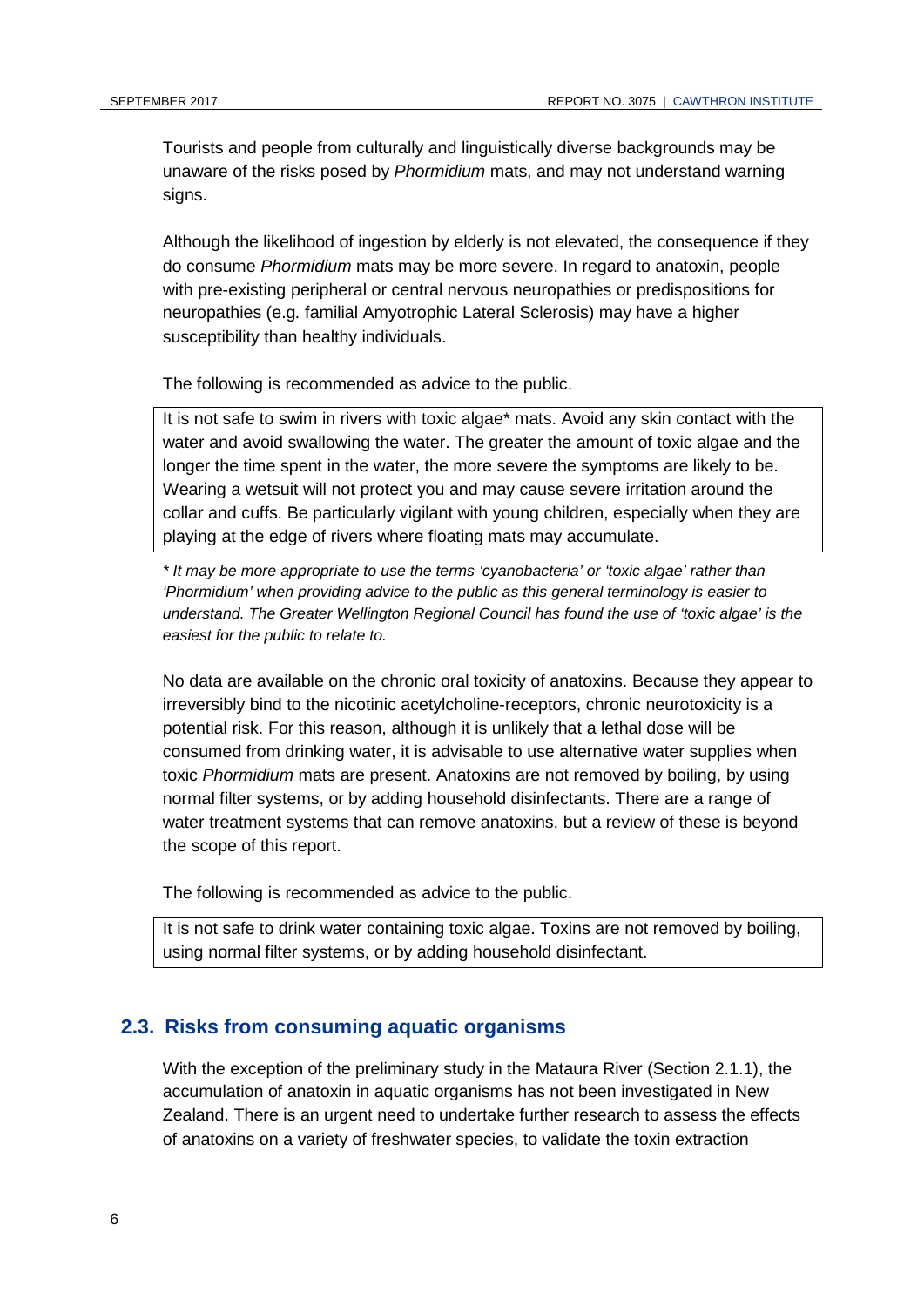Tourists and people from culturally and linguistically diverse backgrounds may be unaware of the risks posed by *Phormidium* mats, and may not understand warning signs.

Although the likelihood of ingestion by elderly is not elevated, the consequence if they do consume *Phormidium* mats may be more severe. In regard to anatoxin, people with pre-existing peripheral or central nervous neuropathies or predispositions for neuropathies (e.g*.* familial Amyotrophic Lateral Sclerosis) may have a higher susceptibility than healthy individuals.

The following is recommended as advice to the public.

It is not safe to swim in rivers with toxic algae\* mats. Avoid any skin contact with the water and avoid swallowing the water. The greater the amount of toxic algae and the longer the time spent in the water, the more severe the symptoms are likely to be. Wearing a wetsuit will not protect you and may cause severe irritation around the collar and cuffs. Be particularly vigilant with young children, especially when they are playing at the edge of rivers where floating mats may accumulate.

*\* It may be more appropriate to use the terms 'cyanobacteria' or 'toxic algae' rather than 'Phormidium' when providing advice to the public as this general terminology is easier to understand. The Greater Wellington Regional Council has found the use of 'toxic algae' is the easiest for the public to relate to.*

No data are available on the chronic oral toxicity of anatoxins. Because they appear to irreversibly bind to the nicotinic acetylcholine-receptors, chronic neurotoxicity is a potential risk. For this reason, although it is unlikely that a lethal dose will be consumed from drinking water, it is advisable to use alternative water supplies when toxic *Phormidium* mats are present. Anatoxins are not removed by boiling, by using normal filter systems, or by adding household disinfectants. There are a range of water treatment systems that can remove anatoxins, but a review of these is beyond the scope of this report.

The following is recommended as advice to the public.

It is not safe to drink water containing toxic algae. Toxins are not removed by boiling, using normal filter systems, or by adding household disinfectant.

#### **2.3. Risks from consuming aquatic organisms**

With the exception of the preliminary study in the Mataura River (Section 2.1.1), the accumulation of anatoxin in aquatic organisms has not been investigated in New Zealand. There is an urgent need to undertake further research to assess the effects of anatoxins on a variety of freshwater species, to validate the toxin extraction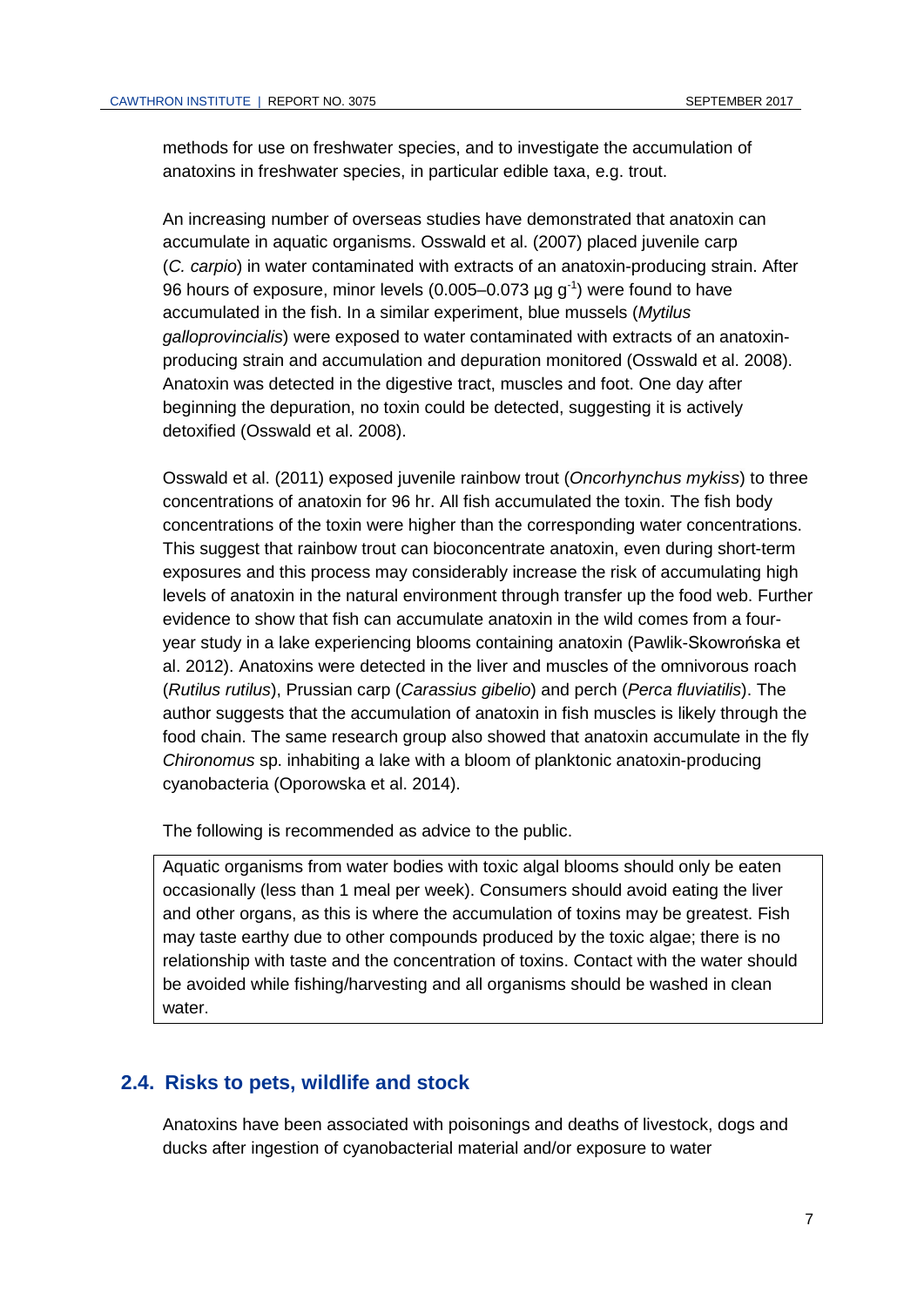methods for use on freshwater species, and to investigate the accumulation of anatoxins in freshwater species, in particular edible taxa, e.g. trout.

An increasing number of overseas studies have demonstrated that anatoxin can accumulate in aquatic organisms. Osswald et al. (2007) placed juvenile carp (*C. carpio*) in water contaminated with extracts of an anatoxin-producing strain. After 96 hours of exposure, minor levels (0.005–0.073  $\mu$ g g<sup>-1</sup>) were found to have accumulated in the fish. In a similar experiment, blue mussels (*Mytilus galloprovincialis*) were exposed to water contaminated with extracts of an anatoxinproducing strain and accumulation and depuration monitored (Osswald et al. 2008). Anatoxin was detected in the digestive tract, muscles and foot. One day after beginning the depuration, no toxin could be detected, suggesting it is actively detoxified (Osswald et al. 2008).

Osswald et al. (2011) exposed juvenile rainbow trout (*Oncorhynchus mykiss*) to three concentrations of anatoxin for 96 hr. All fish accumulated the toxin. The fish body concentrations of the toxin were higher than the corresponding water concentrations. This suggest that rainbow trout can bioconcentrate anatoxin, even during short-term exposures and this process may considerably increase the risk of accumulating high levels of anatoxin in the natural environment through transfer up the food web. Further evidence to show that fish can accumulate anatoxin in the wild comes from a fouryear study in a lake experiencing blooms containing anatoxin (Pawlik-Skowrońska et al. 2012). Anatoxins were detected in the liver and muscles of the omnivorous roach (*Rutilus rutilus*), Prussian carp (*Carassius gibelio*) and perch (*Perca fluviatilis*). The author suggests that the accumulation of anatoxin in fish muscles is likely through the food chain. The same research group also showed that anatoxin accumulate in the fly *Chironomus* sp. inhabiting a lake with a bloom of planktonic anatoxin-producing cyanobacteria (Oporowska et al. 2014).

The following is recommended as advice to the public.

Aquatic organisms from water bodies with toxic algal blooms should only be eaten occasionally (less than 1 meal per week). Consumers should avoid eating the liver and other organs, as this is where the accumulation of toxins may be greatest. Fish may taste earthy due to other compounds produced by the toxic algae; there is no relationship with taste and the concentration of toxins. Contact with the water should be avoided while fishing/harvesting and all organisms should be washed in clean water.

#### **2.4. Risks to pets, wildlife and stock**

Anatoxins have been associated with poisonings and deaths of livestock, dogs and ducks after ingestion of cyanobacterial material and/or exposure to water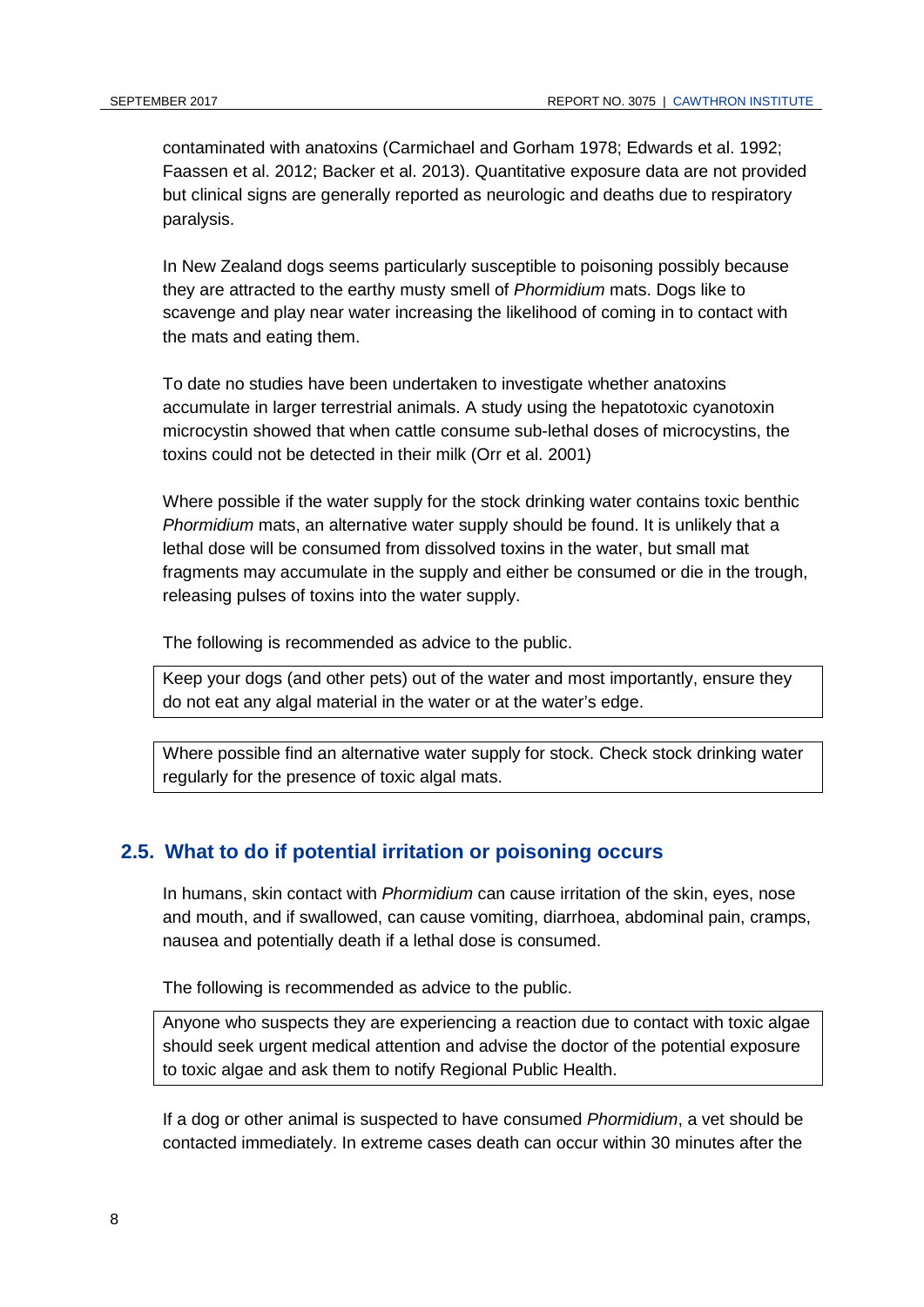contaminated with anatoxins (Carmichael and Gorham 1978; Edwards et al. 1992; Faassen et al. 2012; Backer et al. 2013). Quantitative exposure data are not provided but clinical signs are generally reported as neurologic and deaths due to respiratory paralysis.

In New Zealand dogs seems particularly susceptible to poisoning possibly because they are attracted to the earthy musty smell of *Phormidium* mats. Dogs like to scavenge and play near water increasing the likelihood of coming in to contact with the mats and eating them.

To date no studies have been undertaken to investigate whether anatoxins accumulate in larger terrestrial animals. A study using the hepatotoxic cyanotoxin microcystin showed that when cattle consume sub-lethal doses of microcystins, the toxins could not be detected in their milk (Orr et al. 2001)

Where possible if the water supply for the stock drinking water contains toxic benthic *Phormidium* mats, an alternative water supply should be found. It is unlikely that a lethal dose will be consumed from dissolved toxins in the water, but small mat fragments may accumulate in the supply and either be consumed or die in the trough, releasing pulses of toxins into the water supply.

The following is recommended as advice to the public.

Keep your dogs (and other pets) out of the water and most importantly, ensure they do not eat any algal material in the water or at the water's edge.

Where possible find an alternative water supply for stock. Check stock drinking water regularly for the presence of toxic algal mats.

### **2.5. What to do if potential irritation or poisoning occurs**

In humans, skin contact with *Phormidium* can cause irritation of the skin, eyes, nose and mouth, and if swallowed, can cause vomiting, diarrhoea, abdominal pain, cramps, nausea and potentially death if a lethal dose is consumed.

The following is recommended as advice to the public.

Anyone who suspects they are experiencing a reaction due to contact with toxic algae should seek urgent medical attention and advise the doctor of the potential exposure to toxic algae and ask them to notify Regional Public Health.

If a dog or other animal is suspected to have consumed *Phormidium*, a vet should be contacted immediately. In extreme cases death can occur within 30 minutes after the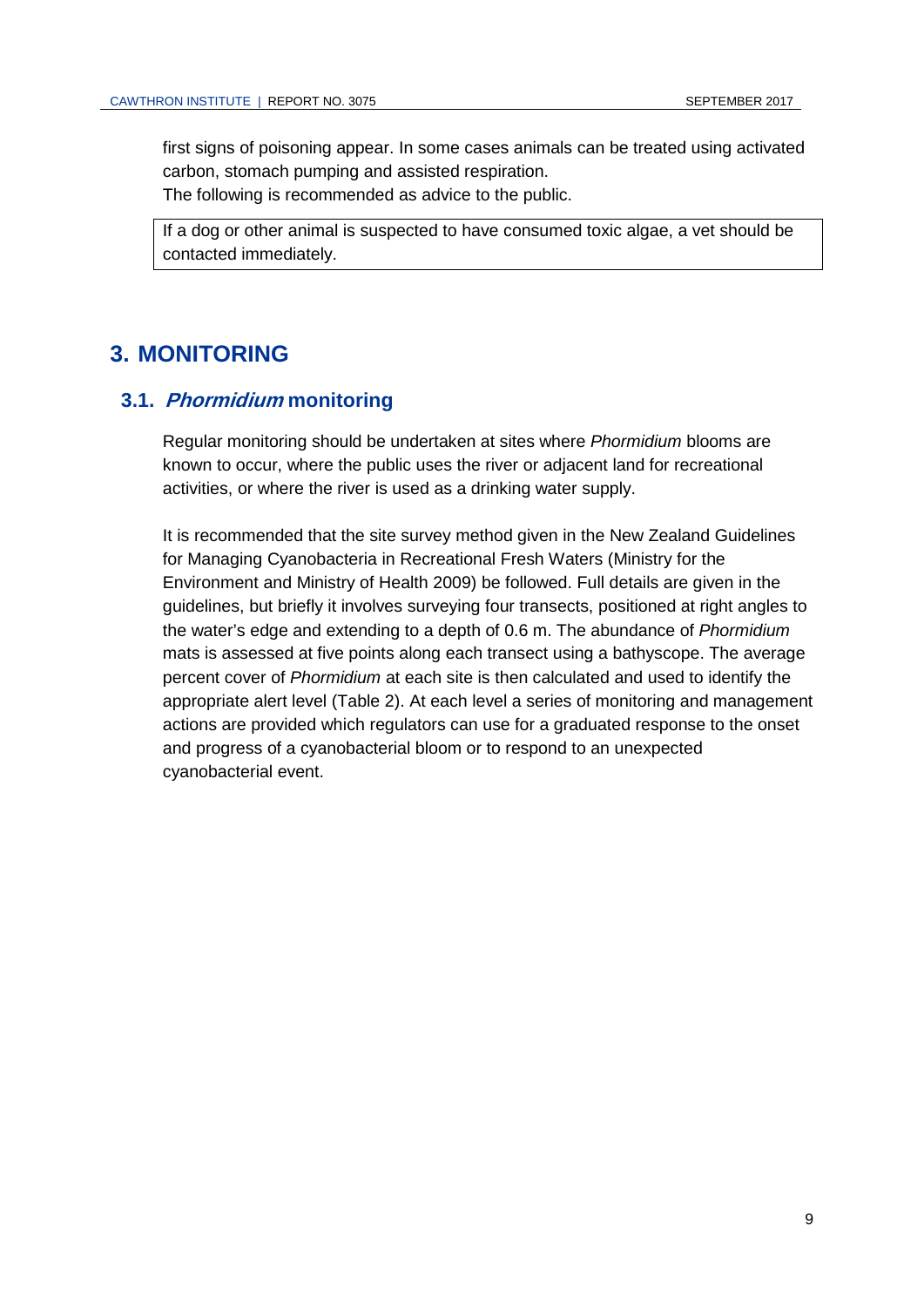first signs of poisoning appear. In some cases animals can be treated using activated carbon, stomach pumping and assisted respiration. The following is recommended as advice to the public.

If a dog or other animal is suspected to have consumed toxic algae, a vet should be contacted immediately.

### **3. MONITORING**

### **3.1. Phormidium monitoring**

Regular monitoring should be undertaken at sites where *Phormidium* blooms are known to occur, where the public uses the river or adjacent land for recreational activities, or where the river is used as a drinking water supply.

It is recommended that the site survey method given in the New Zealand Guidelines for Managing Cyanobacteria in Recreational Fresh Waters (Ministry for the Environment and Ministry of Health 2009) be followed. Full details are given in the guidelines, but briefly it involves surveying four transects, positioned at right angles to the water's edge and extending to a depth of 0.6 m. The abundance of *Phormidium*  mats is assessed at five points along each transect using a bathyscope. The average percent cover of *Phormidium* at each site is then calculated and used to identify the appropriate alert level [\(Table 2\)](#page-13-0). At each level a series of monitoring and management actions are provided which regulators can use for a graduated response to the onset and progress of a cyanobacterial bloom or to respond to an unexpected cyanobacterial event.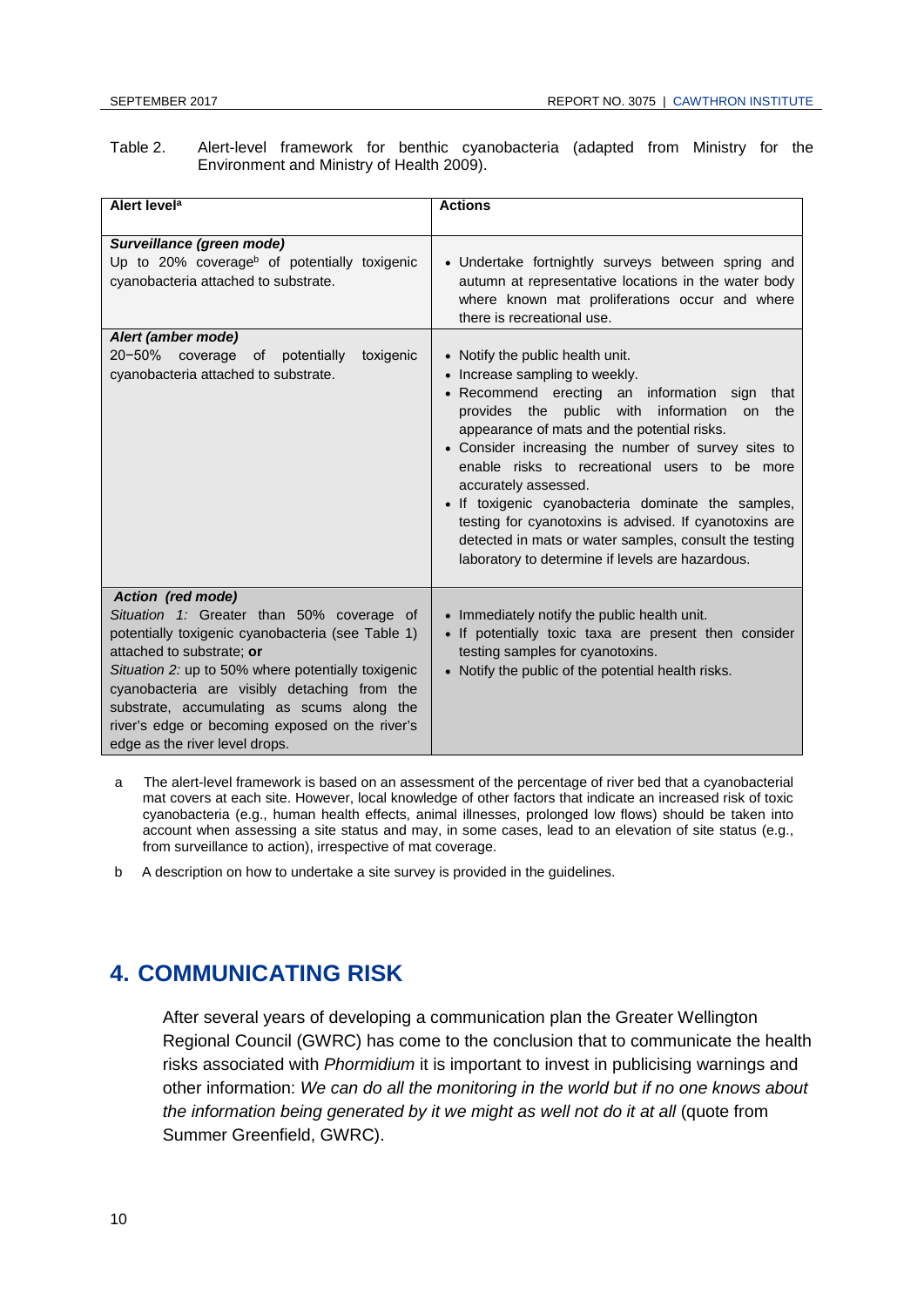<span id="page-13-0"></span>Table 2. Alert-level framework for benthic cyanobacteria (adapted from Ministry for the Environment and Ministry of Health 2009).

| Alert level <sup>a</sup>                                                                                                                                                                                                                                                                                                                                                                  | <b>Actions</b>                                                                                                                                                                                                                                                                                                                                                                                                                                                                                                                                                                                  |
|-------------------------------------------------------------------------------------------------------------------------------------------------------------------------------------------------------------------------------------------------------------------------------------------------------------------------------------------------------------------------------------------|-------------------------------------------------------------------------------------------------------------------------------------------------------------------------------------------------------------------------------------------------------------------------------------------------------------------------------------------------------------------------------------------------------------------------------------------------------------------------------------------------------------------------------------------------------------------------------------------------|
|                                                                                                                                                                                                                                                                                                                                                                                           |                                                                                                                                                                                                                                                                                                                                                                                                                                                                                                                                                                                                 |
| Surveillance (green mode)<br>Up to 20% coverage <sup>b</sup> of potentially toxigenic<br>cyanobacteria attached to substrate.                                                                                                                                                                                                                                                             | • Undertake fortnightly surveys between spring and<br>autumn at representative locations in the water body<br>where known mat proliferations occur and where<br>there is recreational use.                                                                                                                                                                                                                                                                                                                                                                                                      |
| Alert (amber mode)<br>20-50% coverage of potentially<br>toxigenic<br>cyanobacteria attached to substrate.                                                                                                                                                                                                                                                                                 | • Notify the public health unit.<br>• Increase sampling to weekly.<br>• Recommend erecting an information sign<br>that<br>provides the public with information<br>the<br><b>on</b><br>appearance of mats and the potential risks.<br>• Consider increasing the number of survey sites to<br>enable risks to recreational users to be more<br>accurately assessed.<br>• If toxigenic cyanobacteria dominate the samples,<br>testing for cyanotoxins is advised. If cyanotoxins are<br>detected in mats or water samples, consult the testing<br>laboratory to determine if levels are hazardous. |
| Action (red mode)<br>Situation 1: Greater than 50% coverage of<br>potentially toxigenic cyanobacteria (see Table 1)<br>attached to substrate; or<br>Situation 2: up to 50% where potentially toxigenic<br>cyanobacteria are visibly detaching from the<br>substrate, accumulating as scums along the<br>river's edge or becoming exposed on the river's<br>edge as the river level drops. | • Immediately notify the public health unit.<br>• If potentially toxic taxa are present then consider<br>testing samples for cyanotoxins.<br>• Notify the public of the potential health risks.                                                                                                                                                                                                                                                                                                                                                                                                 |

- a The alert-level framework is based on an assessment of the percentage of river bed that a cyanobacterial mat covers at each site. However, local knowledge of other factors that indicate an increased risk of toxic cyanobacteria (e.g., human health effects, animal illnesses, prolonged low flows) should be taken into account when assessing a site status and may, in some cases, lead to an elevation of site status (e.g., from surveillance to action), irrespective of mat coverage.
- b A description on how to undertake a site survey is provided in the guidelines.

## **4. COMMUNICATING RISK**

After several years of developing a communication plan the Greater Wellington Regional Council (GWRC) has come to the conclusion that to communicate the health risks associated with *Phormidium* it is important to invest in publicising warnings and other information: *We can do all the monitoring in the world but if no one knows about the information being generated by it we might as well not do it at all* (quote from Summer Greenfield, GWRC).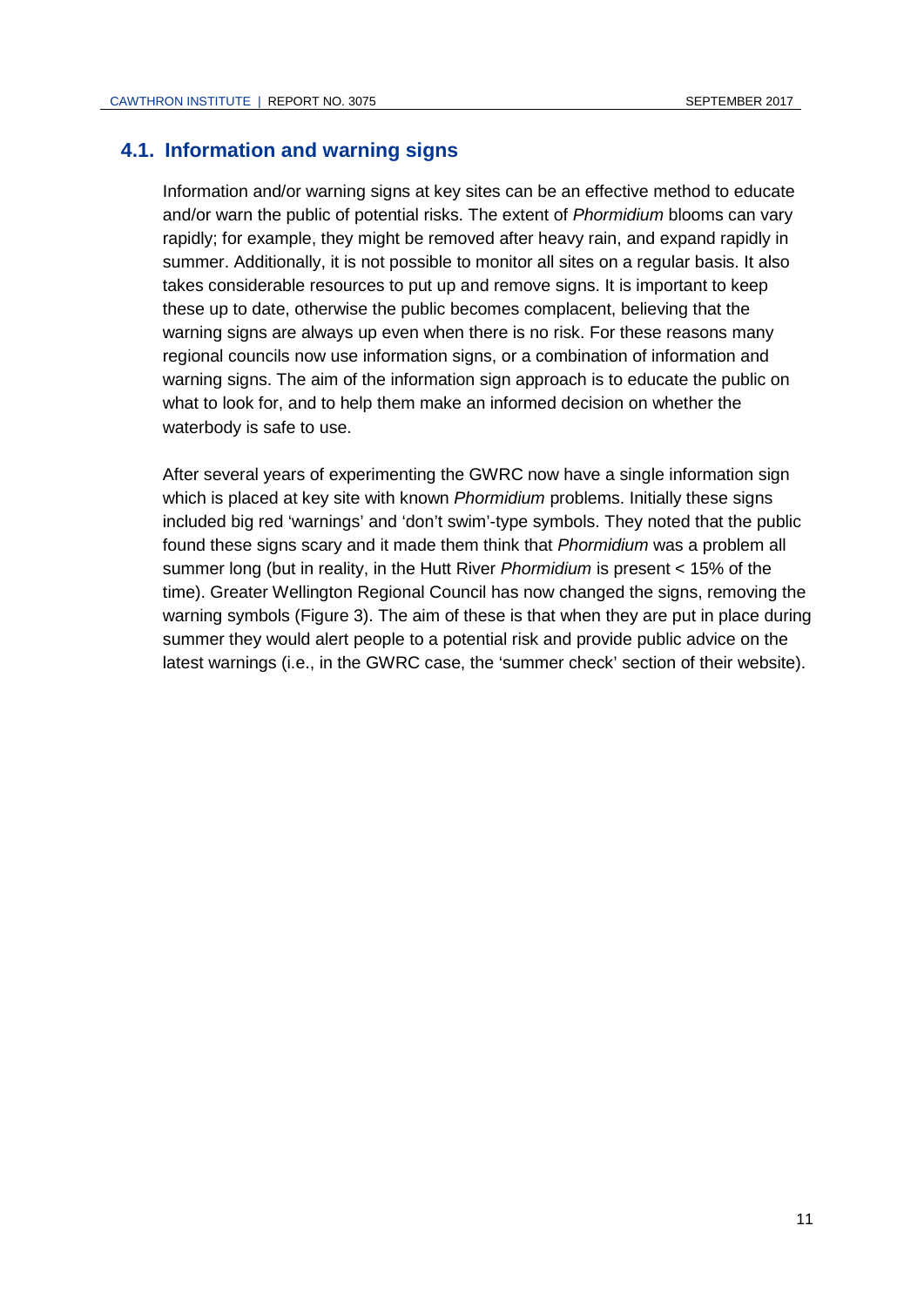### **4.1. Information and warning signs**

Information and/or warning signs at key sites can be an effective method to educate and/or warn the public of potential risks. The extent of *Phormidium* blooms can vary rapidly; for example, they might be removed after heavy rain, and expand rapidly in summer. Additionally, it is not possible to monitor all sites on a regular basis. It also takes considerable resources to put up and remove signs. It is important to keep these up to date, otherwise the public becomes complacent, believing that the warning signs are always up even when there is no risk. For these reasons many regional councils now use information signs, or a combination of information and warning signs. The aim of the information sign approach is to educate the public on what to look for, and to help them make an informed decision on whether the waterbody is safe to use.

After several years of experimenting the GWRC now have a single information sign which is placed at key site with known *Phormidium* problems. Initially these signs included big red 'warnings' and 'don't swim'-type symbols. They noted that the public found these signs scary and it made them think that *Phormidium* was a problem all summer long (but in reality, in the Hutt River *Phormidium* is present < 15% of the time). Greater Wellington Regional Council has now changed the signs, removing the warning symbols [\(Figure 3\)](#page-15-0). The aim of these is that when they are put in place during summer they would alert people to a potential risk and provide public advice on the latest warnings (i.e., in the GWRC case, the 'summer check' section of their website).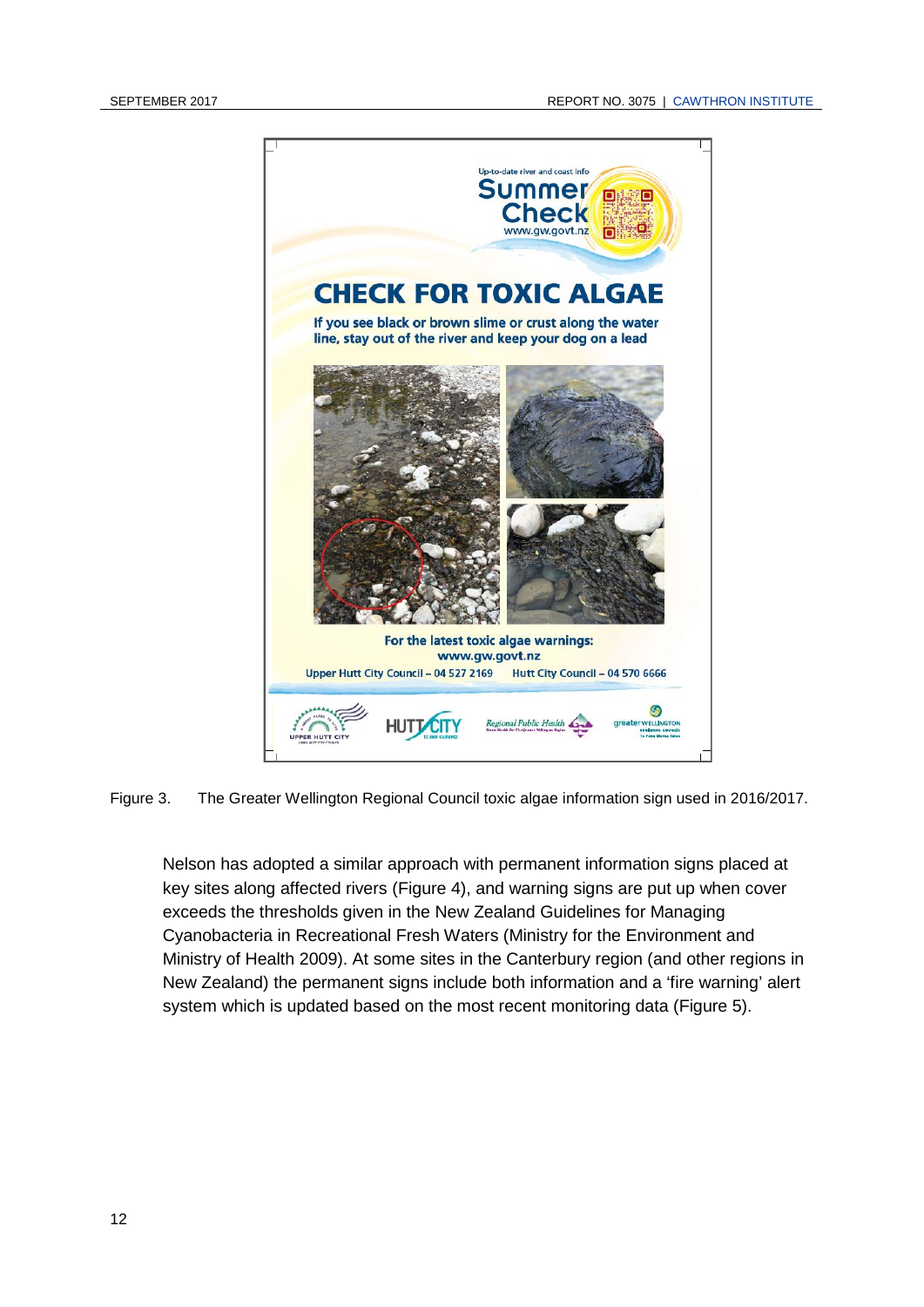

Figure 3. The Greater Wellington Regional Council toxic algae information sign used in 2016/2017.

<span id="page-15-0"></span>Nelson has adopted a similar approach with permanent information signs placed at key sites along affected rivers [\(Figure 4\)](#page-16-0), and warning signs are put up when cover exceeds the thresholds given in the New Zealand Guidelines for Managing Cyanobacteria in Recreational Fresh Waters (Ministry for the Environment and Ministry of Health 2009). At some sites in the Canterbury region (and other regions in New Zealand) the permanent signs include both information and a 'fire warning' alert system which is updated based on the most recent monitoring data [\(Figure 5\)](#page-16-1).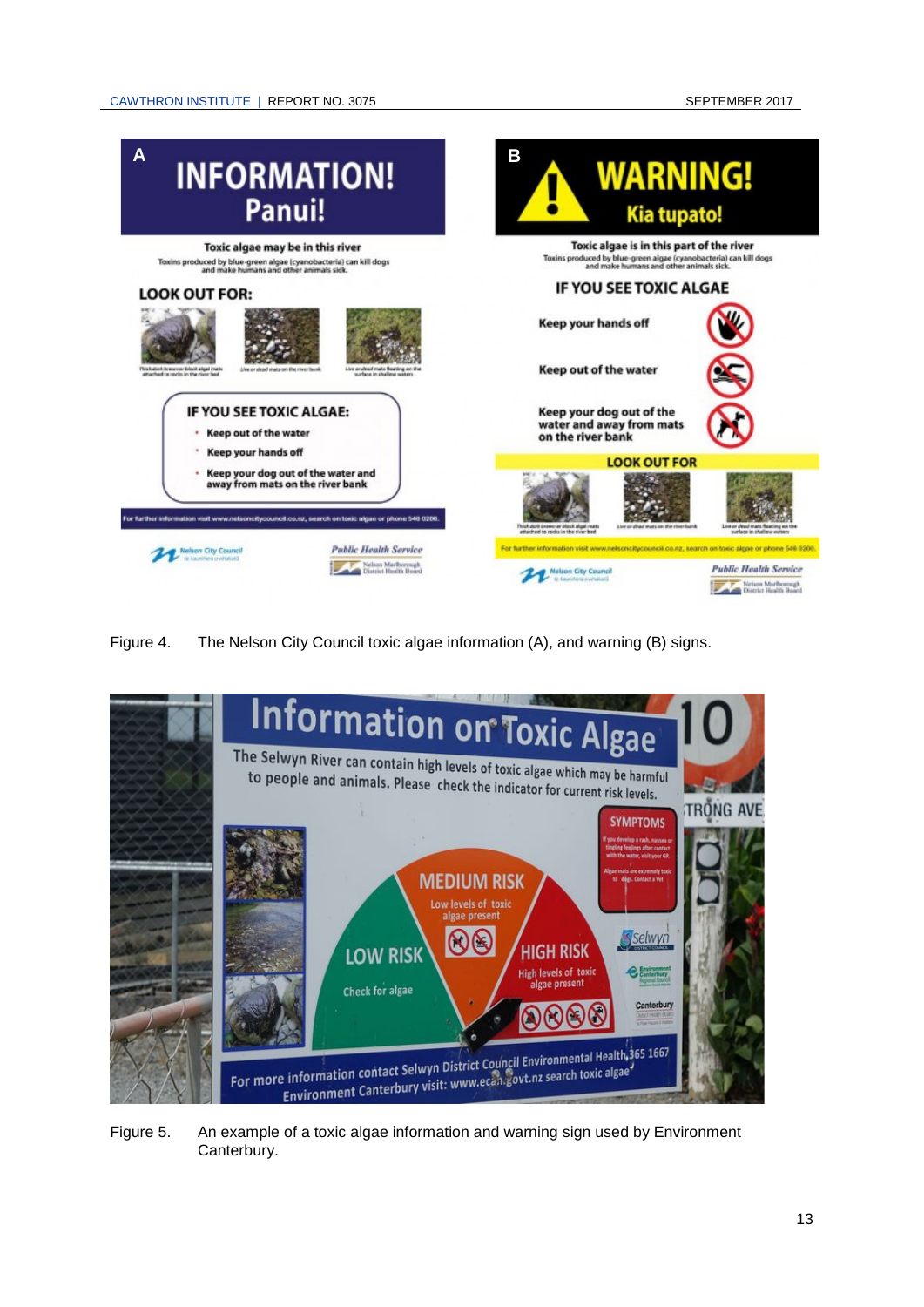

<span id="page-16-0"></span>Figure 4. The Nelson City Council toxic algae information (A), and warning (B) signs.

<span id="page-16-1"></span>

Figure 5. An example of a toxic algae information and warning sign used by Environment Canterbury.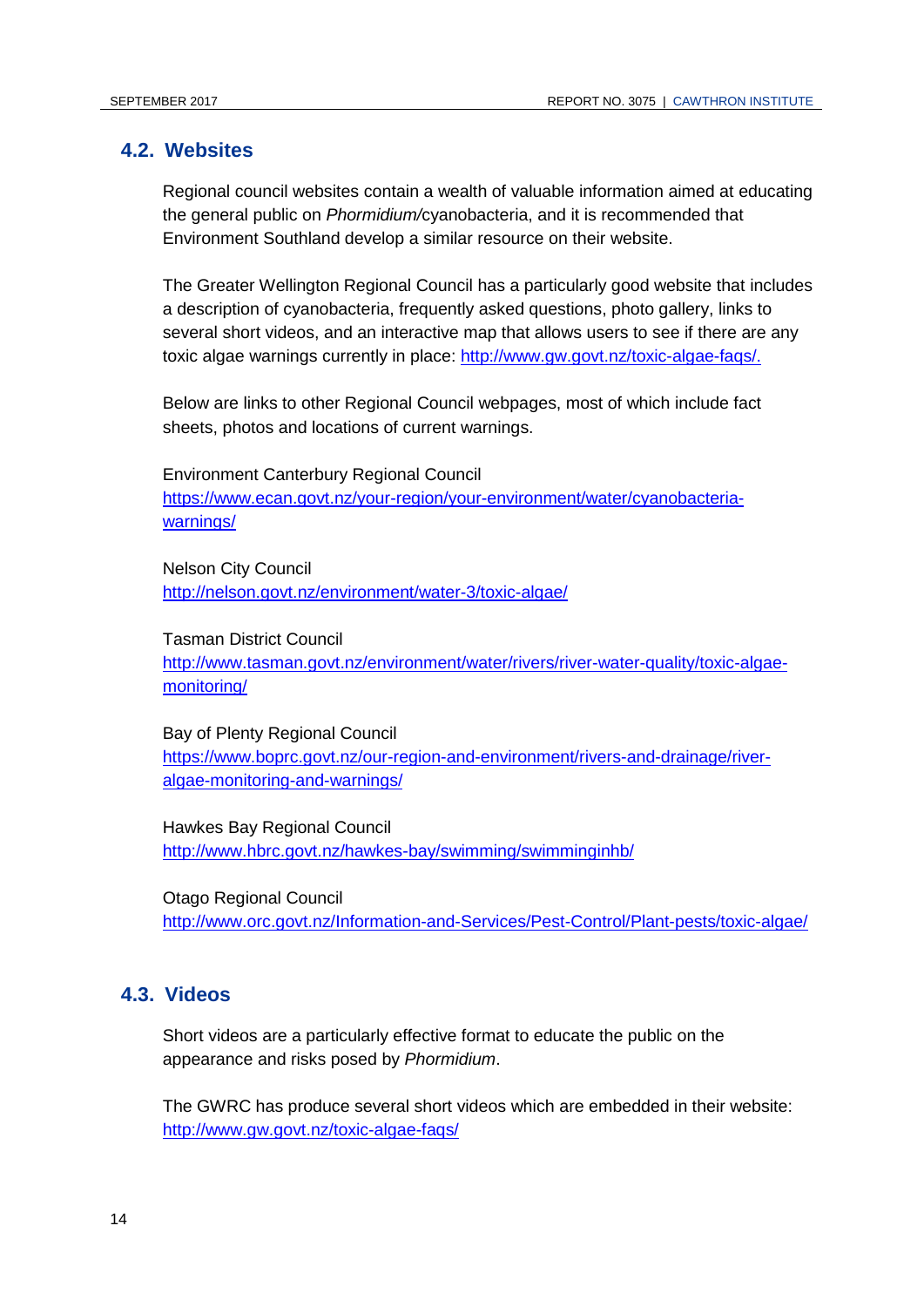#### **4.2. Websites**

Regional council websites contain a wealth of valuable information aimed at educating the general public on *Phormidium/*cyanobacteria, and it is recommended that Environment Southland develop a similar resource on their website.

The Greater Wellington Regional Council has a particularly good website that includes a description of cyanobacteria, frequently asked questions, photo gallery, links to several short videos, and an interactive map that allows users to see if there are any toxic algae warnings currently in place: [http://www.gw.govt.nz/toxic-algae-faqs/.](http://www.gw.govt.nz/toxic-algae-faqs/)

Below are links to other Regional Council webpages, most of which include fact sheets, photos and locations of current warnings.

Environment Canterbury Regional Council [https://www.ecan.govt.nz/your-region/your-environment/water/cyanobacteria](https://www.ecan.govt.nz/your-region/your-environment/water/cyanobacteria-warnings/)[warnings/](https://www.ecan.govt.nz/your-region/your-environment/water/cyanobacteria-warnings/)

Nelson City Council <http://nelson.govt.nz/environment/water-3/toxic-algae/>

Tasman District Council

[http://www.tasman.govt.nz/environment/water/rivers/river-water-quality/toxic-algae](http://www.tasman.govt.nz/environment/water/rivers/river-water-quality/toxic-algae-monitoring/)[monitoring/](http://www.tasman.govt.nz/environment/water/rivers/river-water-quality/toxic-algae-monitoring/)

Bay of Plenty Regional Council

[https://www.boprc.govt.nz/our-region-and-environment/rivers-and-drainage/river](https://www.boprc.govt.nz/our-region-and-environment/rivers-and-drainage/river-algae-monitoring-and-warnings/)[algae-monitoring-and-warnings/](https://www.boprc.govt.nz/our-region-and-environment/rivers-and-drainage/river-algae-monitoring-and-warnings/)

Hawkes Bay Regional Council <http://www.hbrc.govt.nz/hawkes-bay/swimming/swimminginhb/>

Otago Regional Council <http://www.orc.govt.nz/Information-and-Services/Pest-Control/Plant-pests/toxic-algae/>

### **4.3. Videos**

Short videos are a particularly effective format to educate the public on the appearance and risks posed by *Phormidium*.

The GWRC has produce several short videos which are embedded in their website: <http://www.gw.govt.nz/toxic-algae-faqs/>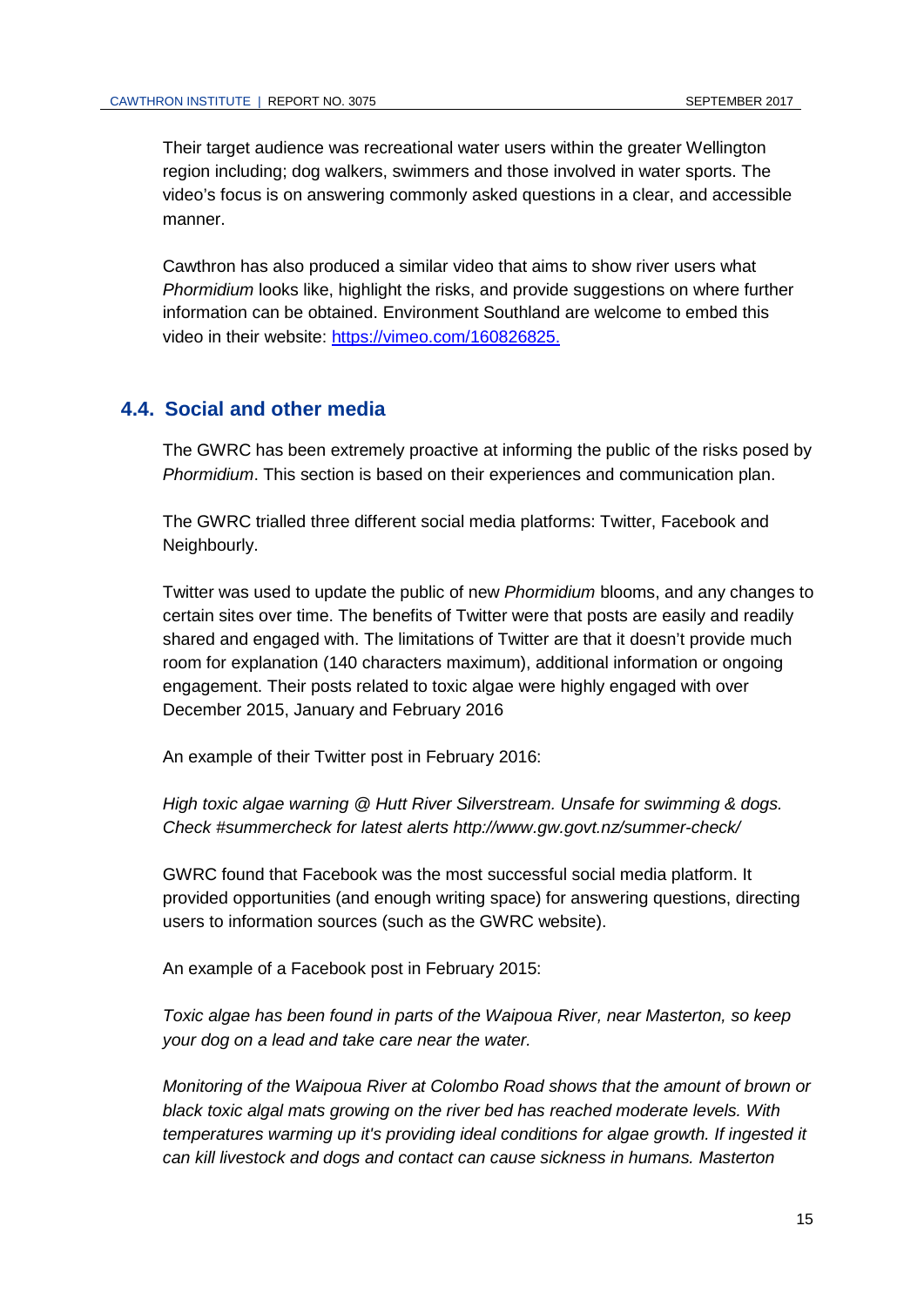Their target audience was recreational water users within the greater Wellington region including; dog walkers, swimmers and those involved in water sports. The video's focus is on answering commonly asked questions in a clear, and accessible manner.

Cawthron has also produced a similar video that aims to show river users what *Phormidium* looks like, highlight the risks, and provide suggestions on where further information can be obtained. Environment Southland are welcome to embed this video in their website: [https://vimeo.com/160826825.](https://vimeo.com/160826825)

### **4.4. Social and other media**

The GWRC has been extremely proactive at informing the public of the risks posed by *Phormidium*. This section is based on their experiences and communication plan.

The GWRC trialled three different social media platforms: Twitter, Facebook and Neighbourly.

Twitter was used to update the public of new *Phormidium* blooms, and any changes to certain sites over time. The benefits of Twitter were that posts are easily and readily shared and engaged with. The limitations of Twitter are that it doesn't provide much room for explanation (140 characters maximum), additional information or ongoing engagement. Their posts related to toxic algae were highly engaged with over December 2015, January and February 2016

An example of their Twitter post in February 2016:

*High toxic algae warning @ Hutt River Silverstream. Unsafe for swimming & dogs. Check [#summercheck](https://twitter.com/hashtag/summercheck?src=hash) for latest alerts [http://www.gw.govt.nz/summer-check/](https://t.co/KlcQhfQNrr)*

GWRC found that Facebook was the most successful social media platform. It provided opportunities (and enough writing space) for answering questions, directing users to information sources (such as the GWRC website).

An example of a Facebook post in February 2015:

*Toxic algae has been found in parts of the Waipoua River, near Masterton, so keep your dog on a lead and take care near the water.*

*Monitoring of the Waipoua River at Colombo Road shows that the amount of brown or black toxic algal mats growing on the river bed has reached moderate levels. With temperatures warming up it's providing ideal conditions for algae growth. If ingested it can kill livestock and dogs and contact can cause sickness in humans. Masterton*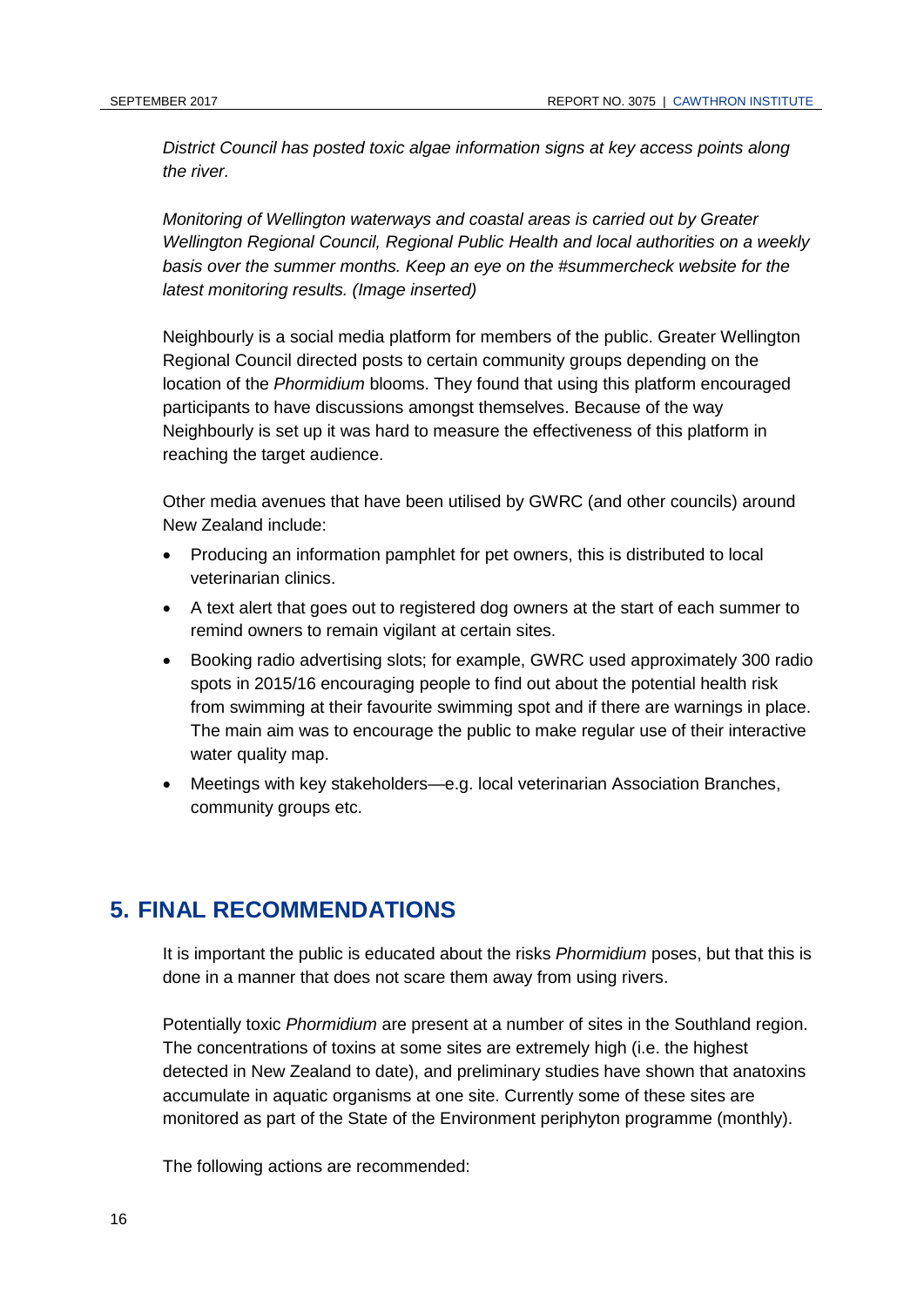*District Council has posted toxic algae information signs at key access points along the river.*

*Monitoring of Wellington waterways and coastal areas is carried out by Greater Wellington Regional Council, Regional Public Health and local authorities on a weekly basis over the summer months. Keep an eye on the [#summercheck](https://www.facebook.com/hashtag/summercheck?source=feed_text&story_id=1100950709917357) website for the latest monitoring results. (Image inserted)*

Neighbourly is a social media platform for members of the public. Greater Wellington Regional Council directed posts to certain community groups depending on the location of the *Phormidium* blooms. They found that using this platform encouraged participants to have discussions amongst themselves. Because of the way Neighbourly is set up it was hard to measure the effectiveness of this platform in reaching the target audience.

Other media avenues that have been utilised by GWRC (and other councils) around New Zealand include:

- Producing an information pamphlet for pet owners, this is distributed to local veterinarian clinics.
- A text alert that goes out to registered dog owners at the start of each summer to remind owners to remain vigilant at certain sites.
- Booking radio advertising slots; for example, GWRC used approximately 300 radio spots in 2015/16 encouraging people to find out about the potential health risk from swimming at their favourite swimming spot and if there are warnings in place. The main aim was to encourage the public to make regular use of their interactive water quality map.
- Meetings with key stakeholders—e.g. local veterinarian Association Branches, community groups etc.

### **5. FINAL RECOMMENDATIONS**

It is important the public is educated about the risks *Phormidium* poses, but that this is done in a manner that does not scare them away from using rivers.

Potentially toxic *Phormidium* are present at a number of sites in the Southland region. The concentrations of toxins at some sites are extremely high (i.e. the highest detected in New Zealand to date), and preliminary studies have shown that anatoxins accumulate in aquatic organisms at one site. Currently some of these sites are monitored as part of the State of the Environment periphyton programme (monthly).

The following actions are recommended: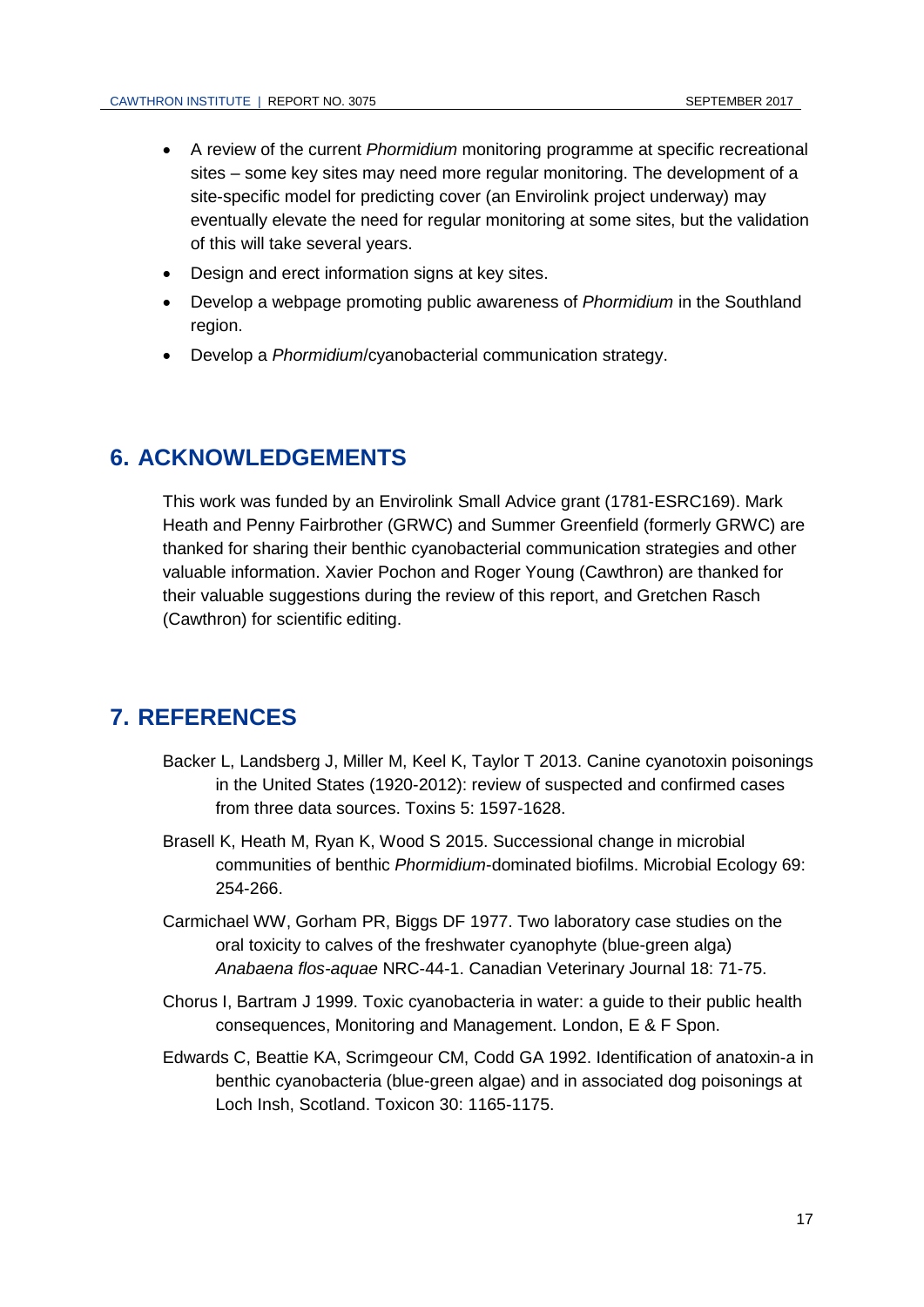- A review of the current *Phormidium* monitoring programme at specific recreational sites – some key sites may need more regular monitoring. The development of a site-specific model for predicting cover (an Envirolink project underway) may eventually elevate the need for regular monitoring at some sites, but the validation of this will take several years.
- Design and erect information signs at key sites.
- Develop a webpage promoting public awareness of *Phormidium* in the Southland region.
- Develop a *Phormidium*/cyanobacterial communication strategy.

### **6. ACKNOWLEDGEMENTS**

This work was funded by an Envirolink Small Advice grant (1781-ESRC169). Mark Heath and Penny Fairbrother (GRWC) and Summer Greenfield (formerly GRWC) are thanked for sharing their benthic cyanobacterial communication strategies and other valuable information. Xavier Pochon and Roger Young (Cawthron) are thanked for their valuable suggestions during the review of this report, and Gretchen Rasch (Cawthron) for scientific editing.

### **7. REFERENCES**

- Backer L, Landsberg J, Miller M, Keel K, Taylor T 2013. Canine cyanotoxin poisonings in the United States (1920-2012): review of suspected and confirmed cases from three data sources. Toxins 5: 1597-1628.
- Brasell K, Heath M, Ryan K, Wood S 2015. Successional change in microbial communities of benthic *Phormidium*-dominated biofilms. Microbial Ecology 69: 254-266.
- Carmichael WW, Gorham PR, Biggs DF 1977. Two laboratory case studies on the oral toxicity to calves of the freshwater cyanophyte (blue-green alga) *Anabaena flos-aquae* NRC-44-1. Canadian Veterinary Journal 18: 71-75.
- Chorus I, Bartram J 1999. Toxic cyanobacteria in water: a guide to their public health consequences, Monitoring and Management. London, E & F Spon.
- Edwards C, Beattie KA, Scrimgeour CM, Codd GA 1992. Identification of anatoxin-a in benthic cyanobacteria (blue-green algae) and in associated dog poisonings at Loch Insh, Scotland. Toxicon 30: 1165-1175.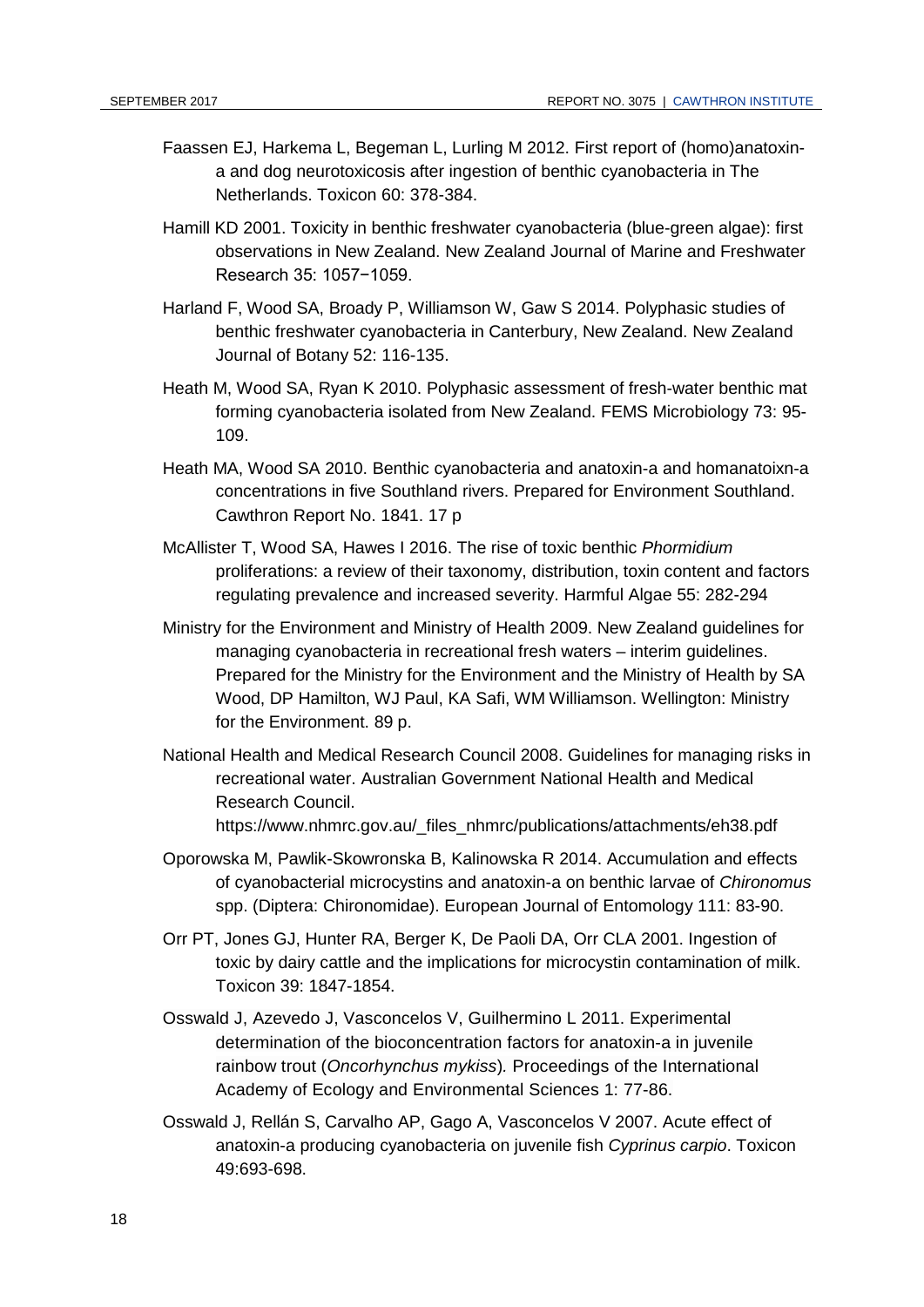- Faassen EJ, Harkema L, Begeman L, Lurling M 2012. First report of (homo)anatoxina and dog neurotoxicosis after ingestion of benthic cyanobacteria in The Netherlands. Toxicon 60: 378-384.
- Hamill KD 2001. Toxicity in benthic freshwater cyanobacteria (blue-green algae): first observations in New Zealand. New Zealand Journal of Marine and Freshwater Research 35: 1057−1059.
- Harland F, Wood SA, Broady P, Williamson W, Gaw S 2014. Polyphasic studies of benthic freshwater cyanobacteria in Canterbury, New Zealand. New Zealand Journal of Botany 52: 116-135.
- Heath M, Wood SA, Ryan K 2010. Polyphasic assessment of fresh-water benthic mat forming cyanobacteria isolated from New Zealand. FEMS Microbiology 73: 95- 109.
- Heath MA, Wood SA 2010. Benthic cyanobacteria and anatoxin-a and homanatoixn-a concentrations in five Southland rivers. Prepared for Environment Southland. Cawthron Report No. 1841. 17 p
- McAllister T, Wood SA, Hawes I 2016. The rise of toxic benthic *Phormidium*  proliferations: a review of their taxonomy, distribution, toxin content and factors regulating prevalence and increased severity. Harmful Algae 55: 282-294
- Ministry for the Environment and Ministry of Health 2009. New Zealand guidelines for managing cyanobacteria in recreational fresh waters – interim guidelines. Prepared for the Ministry for the Environment and the Ministry of Health by SA Wood, DP Hamilton, WJ Paul, KA Safi, WM Williamson. Wellington: Ministry for the Environment. 89 p.
- National Health and Medical Research Council 2008. Guidelines for managing risks in recreational water. Australian Government National Health and Medical Research Council. https://www.nhmrc.gov.au/\_files\_nhmrc/publications/attachments/eh38.pdf
- Oporowska M, Pawlik-Skowronska B, Kalinowska R 2014. Accumulation and effects of cyanobacterial microcystins and anatoxin-a on benthic larvae of *Chironomus* spp. (Diptera: Chironomidae). European Journal of Entomology 111: 83-90.
- Orr PT, Jones GJ, Hunter RA, Berger K, De Paoli DA, Orr CLA 2001. Ingestion of toxic by dairy cattle and the implications for microcystin contamination of milk. Toxicon 39: 1847-1854.
- Osswald J, Azevedo J, Vasconcelos V, Guilhermino L 2011. Experimental determination of the bioconcentration factors for anatoxin-a in juvenile rainbow trout (*Oncorhynchus mykiss*)*.* Proceedings of the International Academy of Ecology and Environmental Sciences 1: 77-86.
- Osswald J, Rellán S, Carvalho AP, Gago A, Vasconcelos V 2007. Acute effect of anatoxin-a producing cyanobacteria on juvenile fish *Cyprinus carpio*. Toxicon 49:693-698.